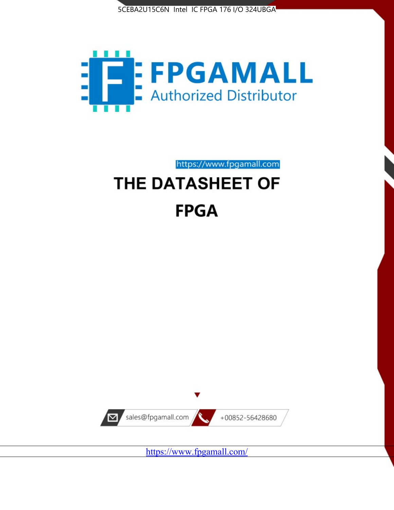



https://www.fpgamall.com

# THE DATASHEET OF **FPGA**



<https://www.fpgamall.com/>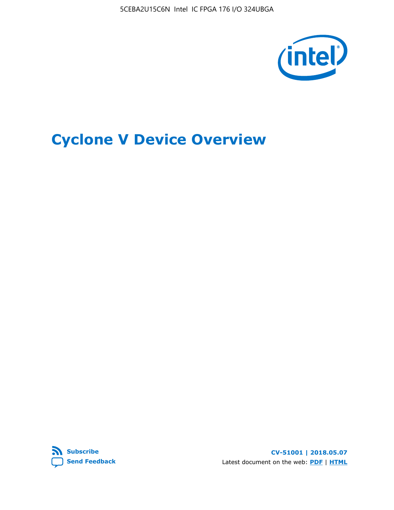5CEBA2U15C6N Intel IC FPGA 176 I/O 324UBGA



# **Cyclone V Device Overview**



**CV-51001 | 2018.05.07** Latest document on the web: **[PDF](https://www.altera.com/en_US/pdfs/literature/hb/cyclone-v/cv_51001.pdf)** | **[HTML](https://www.altera.com/documentation/sam1403480548153.html)**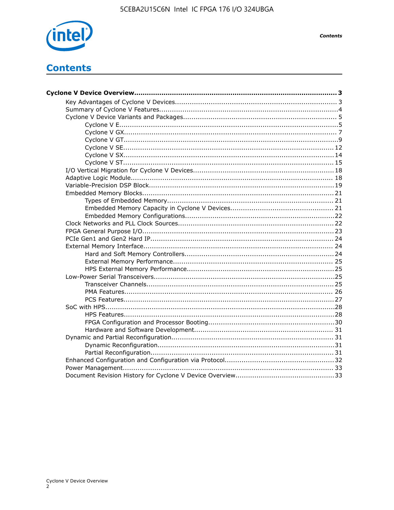

# **Contents**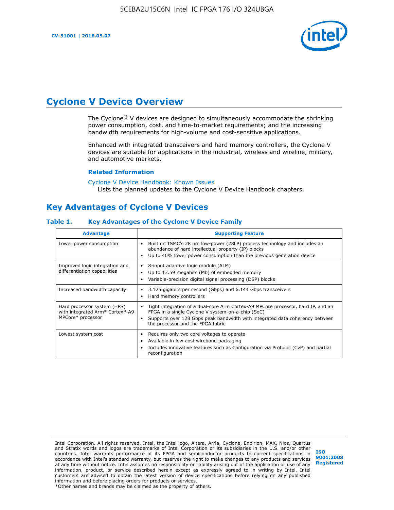

# **Cyclone V Device Overview**

The Cyclone® V devices are designed to simultaneously accommodate the shrinking power consumption, cost, and time-to-market requirements; and the increasing bandwidth requirements for high-volume and cost-sensitive applications.

Enhanced with integrated transceivers and hard memory controllers, the Cyclone V devices are suitable for applications in the industrial, wireless and wireline, military, and automotive markets.

#### **Related Information**

[Cyclone V Device Handbook: Known Issues](https://www.altera.com/support/support-resources/knowledge-base/solutions/rd12152011_347.html) Lists the planned updates to the Cyclone V Device Handbook chapters.

## **Key Advantages of Cyclone V Devices**

#### **Table 1. Key Advantages of the Cyclone V Device Family**

| <b>Advantage</b>                                                                    | <b>Supporting Feature</b>                                                                                                                                                                                                                                                    |
|-------------------------------------------------------------------------------------|------------------------------------------------------------------------------------------------------------------------------------------------------------------------------------------------------------------------------------------------------------------------------|
| Lower power consumption                                                             | Built on TSMC's 28 nm low-power (28LP) process technology and includes an<br>$\bullet$<br>abundance of hard intellectual property (IP) blocks<br>Up to 40% lower power consumption than the previous generation device                                                       |
| Improved logic integration and<br>differentiation capabilities                      | 8-input adaptive logic module (ALM)<br>٠<br>Up to 13.59 megabits (Mb) of embedded memory<br>٠<br>Variable-precision digital signal processing (DSP) blocks                                                                                                                   |
| Increased bandwidth capacity                                                        | 3.125 gigabits per second (Gbps) and 6.144 Gbps transceivers<br>٠<br>Hard memory controllers<br>٠                                                                                                                                                                            |
| Hard processor system (HPS)<br>with integrated Arm* Cortex*-A9<br>MPCore* processor | Tight integration of a dual-core Arm Cortex-A9 MPCore processor, hard IP, and an<br>$\bullet$<br>FPGA in a single Cyclone V system-on-a-chip (SoC)<br>Supports over 128 Gbps peak bandwidth with integrated data coherency between<br>٠<br>the processor and the FPGA fabric |
| Lowest system cost                                                                  | Requires only two core voltages to operate<br>٠<br>Available in low-cost wirebond packaging<br>٠<br>Includes innovative features such as Configuration via Protocol (CvP) and partial<br>٠<br>reconfiguration                                                                |

Intel Corporation. All rights reserved. Intel, the Intel logo, Altera, Arria, Cyclone, Enpirion, MAX, Nios, Quartus and Stratix words and logos are trademarks of Intel Corporation or its subsidiaries in the U.S. and/or other countries. Intel warrants performance of its FPGA and semiconductor products to current specifications in accordance with Intel's standard warranty, but reserves the right to make changes to any products and services at any time without notice. Intel assumes no responsibility or liability arising out of the application or use of any information, product, or service described herein except as expressly agreed to in writing by Intel. Intel customers are advised to obtain the latest version of device specifications before relying on any published information and before placing orders for products or services. \*Other names and brands may be claimed as the property of others.

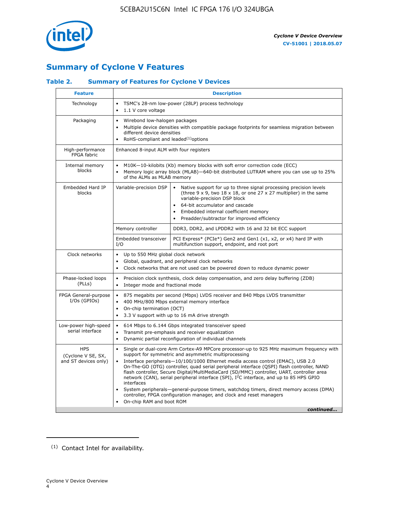

# **Summary of Cyclone V Features**

## **Table 2. Summary of Features for Cyclone V Devices**

| <b>Feature</b>                                           | <b>Description</b>                                                                                                                                                                                                                                                                                                                        |                                                                                                                                                                                                                                                                                                                                                                                                                                                                                                                                                                                                                                                                                                         |  |  |  |  |  |  |
|----------------------------------------------------------|-------------------------------------------------------------------------------------------------------------------------------------------------------------------------------------------------------------------------------------------------------------------------------------------------------------------------------------------|---------------------------------------------------------------------------------------------------------------------------------------------------------------------------------------------------------------------------------------------------------------------------------------------------------------------------------------------------------------------------------------------------------------------------------------------------------------------------------------------------------------------------------------------------------------------------------------------------------------------------------------------------------------------------------------------------------|--|--|--|--|--|--|
| Technology                                               | TSMC's 28-nm low-power (28LP) process technology<br>$\bullet$<br>1.1 V core voltage<br>$\bullet$                                                                                                                                                                                                                                          |                                                                                                                                                                                                                                                                                                                                                                                                                                                                                                                                                                                                                                                                                                         |  |  |  |  |  |  |
| Packaging                                                | $\bullet$                                                                                                                                                                                                                                                                                                                                 | Wirebond low-halogen packages<br>Multiple device densities with compatible package footprints for seamless migration between<br>different device densities<br>RoHS-compliant and leaded $(1)$ options                                                                                                                                                                                                                                                                                                                                                                                                                                                                                                   |  |  |  |  |  |  |
| High-performance<br>FPGA fabric                          | Enhanced 8-input ALM with four registers                                                                                                                                                                                                                                                                                                  |                                                                                                                                                                                                                                                                                                                                                                                                                                                                                                                                                                                                                                                                                                         |  |  |  |  |  |  |
| Internal memory<br>blocks                                | of the ALMs as MLAB memory                                                                                                                                                                                                                                                                                                                | M10K-10-kilobits (Kb) memory blocks with soft error correction code (ECC)<br>Memory logic array block (MLAB)-640-bit distributed LUTRAM where you can use up to 25%                                                                                                                                                                                                                                                                                                                                                                                                                                                                                                                                     |  |  |  |  |  |  |
| Embedded Hard IP<br>blocks                               | Variable-precision DSP<br>Native support for up to three signal processing precision levels<br>(three $9 \times 9$ , two $18 \times 18$ , or one 27 x 27 multiplier) in the same<br>variable-precision DSP block<br>64-bit accumulator and cascade<br>Embedded internal coefficient memory<br>Preadder/subtractor for improved efficiency |                                                                                                                                                                                                                                                                                                                                                                                                                                                                                                                                                                                                                                                                                                         |  |  |  |  |  |  |
|                                                          | Memory controller                                                                                                                                                                                                                                                                                                                         | DDR3, DDR2, and LPDDR2 with 16 and 32 bit ECC support                                                                                                                                                                                                                                                                                                                                                                                                                                                                                                                                                                                                                                                   |  |  |  |  |  |  |
|                                                          | Embedded transceiver<br>I/O                                                                                                                                                                                                                                                                                                               | PCI Express* (PCIe*) Gen2 and Gen1 (x1, x2, or x4) hard IP with<br>multifunction support, endpoint, and root port                                                                                                                                                                                                                                                                                                                                                                                                                                                                                                                                                                                       |  |  |  |  |  |  |
| Clock networks                                           | Up to 550 MHz global clock network<br>$\bullet$<br>$\bullet$                                                                                                                                                                                                                                                                              | Global, quadrant, and peripheral clock networks<br>Clock networks that are not used can be powered down to reduce dynamic power                                                                                                                                                                                                                                                                                                                                                                                                                                                                                                                                                                         |  |  |  |  |  |  |
| Phase-locked loops<br>(PLLs)                             | $\bullet$<br>Integer mode and fractional mode<br>$\bullet$                                                                                                                                                                                                                                                                                | Precision clock synthesis, clock delay compensation, and zero delay buffering (ZDB)                                                                                                                                                                                                                                                                                                                                                                                                                                                                                                                                                                                                                     |  |  |  |  |  |  |
| FPGA General-purpose<br>$I/Os$ (GPIOs)                   | $\bullet$<br>$\bullet$<br>On-chip termination (OCT)<br>$\bullet$                                                                                                                                                                                                                                                                          | 875 megabits per second (Mbps) LVDS receiver and 840 Mbps LVDS transmitter<br>400 MHz/800 Mbps external memory interface<br>3.3 V support with up to 16 mA drive strength                                                                                                                                                                                                                                                                                                                                                                                                                                                                                                                               |  |  |  |  |  |  |
| Low-power high-speed<br>serial interface                 | 614 Mbps to 6.144 Gbps integrated transceiver speed<br>$\bullet$<br>Transmit pre-emphasis and receiver equalization<br>$\bullet$<br>Dynamic partial reconfiguration of individual channels<br>$\bullet$                                                                                                                                   |                                                                                                                                                                                                                                                                                                                                                                                                                                                                                                                                                                                                                                                                                                         |  |  |  |  |  |  |
| <b>HPS</b><br>(Cyclone V SE, SX,<br>and ST devices only) | $\bullet$<br>$\bullet$<br>interfaces<br>On-chip RAM and boot ROM                                                                                                                                                                                                                                                                          | Single or dual-core Arm Cortex-A9 MPCore processor-up to 925 MHz maximum frequency with<br>support for symmetric and asymmetric multiprocessing<br>Interface peripherals-10/100/1000 Ethernet media access control (EMAC), USB 2.0<br>On-The-GO (OTG) controller, quad serial peripheral interface (QSPI) flash controller, NAND<br>flash controller, Secure Digital/MultiMediaCard (SD/MMC) controller, UART, controller area<br>network (CAN), serial peripheral interface (SPI), I <sup>2</sup> C interface, and up to 85 HPS GPIO<br>System peripherals—general-purpose timers, watchdog timers, direct memory access (DMA)<br>controller, FPGA configuration manager, and clock and reset managers |  |  |  |  |  |  |
|                                                          |                                                                                                                                                                                                                                                                                                                                           | continued                                                                                                                                                                                                                                                                                                                                                                                                                                                                                                                                                                                                                                                                                               |  |  |  |  |  |  |

<sup>(1)</sup> Contact Intel for availability.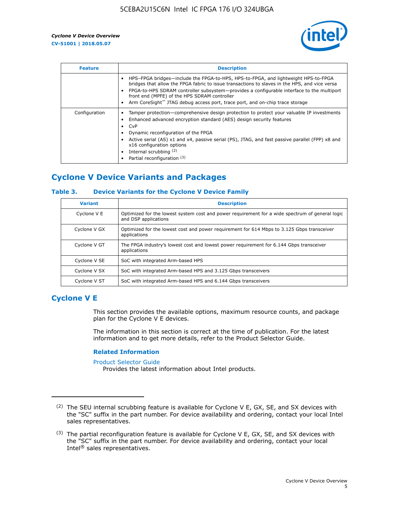

| <b>Feature</b> | <b>Description</b>                                                                                                                                                                                                                                                                                                                                                                                                    |
|----------------|-----------------------------------------------------------------------------------------------------------------------------------------------------------------------------------------------------------------------------------------------------------------------------------------------------------------------------------------------------------------------------------------------------------------------|
|                | HPS-FPGA bridges—include the FPGA-to-HPS, HPS-to-FPGA, and lightweight HPS-to-FPGA<br>bridges that allow the FPGA fabric to issue transactions to slaves in the HPS, and vice versa<br>FPGA-to-HPS SDRAM controller subsystem-provides a configurable interface to the multiport<br>front end (MPFE) of the HPS SDRAM controller<br>Arm CoreSight™ JTAG debug access port, trace port, and on-chip trace storage      |
| Configuration  | Tamper protection—comprehensive design protection to protect your valuable IP investments<br>Enhanced advanced encryption standard (AES) design security features<br>CvP<br>$\bullet$<br>Dynamic reconfiguration of the FPGA<br>Active serial (AS) x1 and x4, passive serial (PS), JTAG, and fast passive parallel (FPP) x8 and<br>x16 configuration options<br>Internal scrubbing (2)<br>Partial reconfiguration (3) |

# **Cyclone V Device Variants and Packages**

#### **Table 3. Device Variants for the Cyclone V Device Family**

| <b>Variant</b> | <b>Description</b>                                                                                                      |
|----------------|-------------------------------------------------------------------------------------------------------------------------|
| Cyclone V E    | Optimized for the lowest system cost and power requirement for a wide spectrum of general logic<br>and DSP applications |
| Cyclone V GX   | Optimized for the lowest cost and power requirement for 614 Mbps to 3.125 Gbps transceiver<br>applications              |
| Cyclone V GT   | The FPGA industry's lowest cost and lowest power requirement for 6.144 Gbps transceiver<br>applications                 |
| Cyclone V SE   | SoC with integrated Arm-based HPS                                                                                       |
| Cyclone V SX   | SoC with integrated Arm-based HPS and 3.125 Gbps transceivers                                                           |
| Cyclone V ST   | SoC with integrated Arm-based HPS and 6.144 Gbps transceivers                                                           |

## **Cyclone V E**

This section provides the available options, maximum resource counts, and package plan for the Cyclone V E devices.

The information in this section is correct at the time of publication. For the latest information and to get more details, refer to the Product Selector Guide.

#### **Related Information**

[Product Selector Guide](https://www.altera.com/products/product-selector-guide.html)

Provides the latest information about Intel products.

<sup>(2)</sup> The SEU internal scrubbing feature is available for Cyclone V E, GX, SE, and SX devices with the "SC" suffix in the part number. For device availability and ordering, contact your local Intel sales representatives.

 $(3)$  The partial reconfiguration feature is available for Cyclone V E, GX, SE, and SX devices with the "SC" suffix in the part number. For device availability and ordering, contact your local Intel® sales representatives.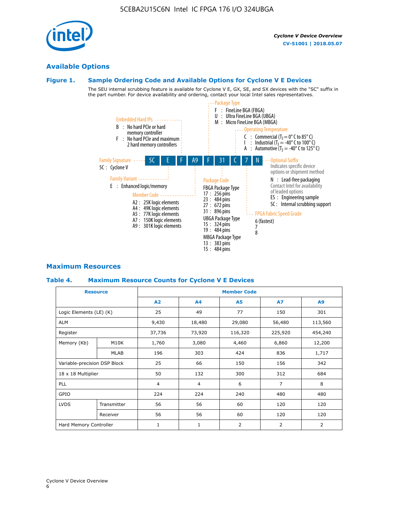# **Available Options**

#### **Figure 1. Sample Ordering Code and Available Options for Cyclone V E Devices**

The SEU internal scrubbing feature is available for Cyclone V E, GX, SE, and SX devices with the "SC" suffix in the part number. For device availability and ordering, contact your local Intel sales representatives.



## **Maximum Resources**

#### **Table 4. Maximum Resource Counts for Cyclone V E Devices**

| <b>Resource</b>              |             | <b>Member Code</b> |                |                |                |         |  |  |
|------------------------------|-------------|--------------------|----------------|----------------|----------------|---------|--|--|
|                              |             | A2                 | A <sub>4</sub> | <b>A5</b>      | <b>A7</b>      | A9      |  |  |
| Logic Elements (LE) (K)      |             | 25                 | 49             | 77             | 150            | 301     |  |  |
| <b>ALM</b>                   |             | 9,430              | 18,480         | 29,080         | 56,480         | 113,560 |  |  |
| Register                     |             | 37,736             | 73,920         | 116,320        | 225,920        | 454,240 |  |  |
| Memory (Kb)                  | M10K        | 1,760              | 3,080          | 4,460          | 6,860          | 12,200  |  |  |
|                              | MLAB        | 196                | 303            | 424            | 836            | 1,717   |  |  |
| Variable-precision DSP Block |             | 25                 | 66             | 150            | 156            | 342     |  |  |
| 18 x 18 Multiplier           |             | 50                 | 132            | 300            | 312            | 684     |  |  |
| PLL                          |             | $\overline{4}$     | 4              | 6              | $\overline{7}$ | 8       |  |  |
| GPIO                         |             | 224                | 224            | 240            | 480            | 480     |  |  |
| <b>LVDS</b>                  | Transmitter | 56                 | 56             | 60             | 120            | 120     |  |  |
|                              | Receiver    | 56                 | 56             | 60             | 120            | 120     |  |  |
| Hard Memory Controller       |             | $\mathbf{1}$       | $\mathbf{1}$   | $\overline{2}$ | $\overline{2}$ | 2       |  |  |

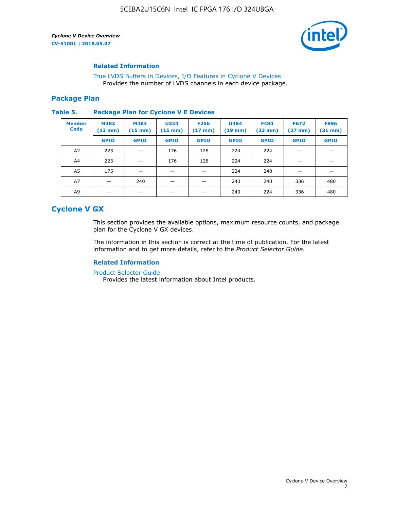

#### **Related Information**

[True LVDS Buffers in Devices, I/O Features in Cyclone V Devices](https://www.altera.com/documentation/sam1403481100977.html#sam1403480885395) Provides the number of LVDS channels in each device package.

#### **Package Plan**

#### **Table 5. Package Plan for Cyclone V E Devices**

| <b>Member</b><br><b>Code</b> | <b>M383</b><br>$(13 \text{ mm})$ | M484<br>$(15 \text{ mm})$ | <b>U324</b><br>$(15 \text{ mm})$ | <b>F256</b><br>$(17 \text{ mm})$ | <b>U484</b><br>$(19$ mm) | <b>F484</b><br>$(23$ mm $)$ | <b>F672</b><br>$(27 \text{ mm})$ | <b>F896</b><br>$(31 \text{ mm})$ |
|------------------------------|----------------------------------|---------------------------|----------------------------------|----------------------------------|--------------------------|-----------------------------|----------------------------------|----------------------------------|
|                              | <b>GPIO</b>                      | <b>GPIO</b>               | <b>GPIO</b>                      | <b>GPIO</b>                      | <b>GPIO</b>              | <b>GPIO</b>                 | <b>GPIO</b>                      | <b>GPIO</b>                      |
| A <sub>2</sub>               | 223                              |                           | 176                              | 128                              | 224                      | 224                         |                                  |                                  |
| A4                           | 223                              |                           | 176                              | 128                              | 224                      | 224                         | –                                |                                  |
| A <sub>5</sub>               | 175                              |                           |                                  |                                  | 224                      | 240                         |                                  |                                  |
| A7                           |                                  | 240                       |                                  |                                  | 240                      | 240                         | 336                              | 480                              |
| A9                           |                                  |                           |                                  |                                  | 240                      | 224                         | 336                              | 480                              |

## **Cyclone V GX**

This section provides the available options, maximum resource counts, and package plan for the Cyclone V GX devices.

The information in this section is correct at the time of publication. For the latest information and to get more details, refer to the *Product Selector Guide*.

#### **Related Information**

[Product Selector Guide](https://www.altera.com/products/product-selector-guide.html)

Provides the latest information about Intel products.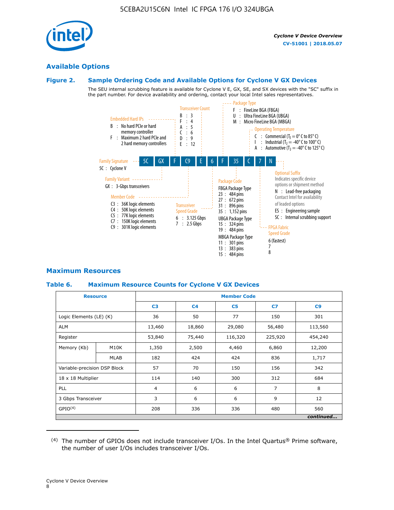

## **Available Options**

#### **Figure 2. Sample Ordering Code and Available Options for Cyclone V GX Devices**

The SEU internal scrubbing feature is available for Cyclone V E, GX, SE, and SX devices with the "SC" suffix in the part number. For device availability and ordering, contact your local Intel sales representatives.



#### **Maximum Resources**

#### **Table 6. Maximum Resource Counts for Cyclone V GX Devices**

|                              | <b>Resource</b> | <b>Member Code</b> |                |                |                |           |  |  |
|------------------------------|-----------------|--------------------|----------------|----------------|----------------|-----------|--|--|
|                              |                 | C <sub>3</sub>     | C <sub>4</sub> | C <sub>5</sub> | C7             | C9        |  |  |
| Logic Elements (LE) (K)      |                 | 36                 | 50             | 77             | 150            | 301       |  |  |
| <b>ALM</b>                   |                 | 13,460             | 18,860         | 29,080         | 56,480         | 113,560   |  |  |
| Register                     |                 | 53,840             | 75,440         | 116,320        | 225,920        | 454,240   |  |  |
| Memory (Kb)                  | M10K            | 1,350              | 2,500          | 4,460          | 6,860          | 12,200    |  |  |
|                              | <b>MLAB</b>     | 182                | 424            | 424            | 836            | 1,717     |  |  |
| Variable-precision DSP Block |                 | 57                 | 70             | 150            | 156            | 342       |  |  |
| 18 x 18 Multiplier           |                 | 114                | 140            | 300            | 312            | 684       |  |  |
| PLL                          |                 | $\overline{4}$     | 6              | 6              | $\overline{7}$ | 8         |  |  |
| 3 Gbps Transceiver           |                 | 3                  | 6              | 6              | 9              | 12        |  |  |
| GPIO <sup>(4)</sup>          |                 | 208                | 336            | 336            | 480            | 560       |  |  |
|                              |                 |                    |                |                |                | continued |  |  |

 $(4)$  The number of GPIOs does not include transceiver I/Os. In the Intel Quartus® Prime software, the number of user I/Os includes transceiver I/Os.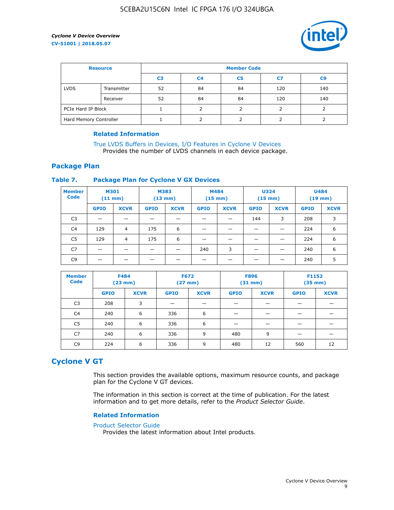

| <b>Resource</b>        |             | <b>Member Code</b> |                |                |     |                |  |  |
|------------------------|-------------|--------------------|----------------|----------------|-----|----------------|--|--|
|                        |             | C <sub>3</sub>     | C <sub>4</sub> | C <sub>5</sub> | C7  | C <sub>9</sub> |  |  |
| <b>LVDS</b>            | Transmitter | 52                 | 84             | 84             | 120 | 140            |  |  |
|                        | Receiver    | 52                 | 84             | 84             | 120 | 140            |  |  |
| PCIe Hard IP Block     |             |                    |                |                |     |                |  |  |
| Hard Memory Controller |             |                    | h              |                |     |                |  |  |

#### **Related Information**

[True LVDS Buffers in Devices, I/O Features in Cyclone V Devices](https://www.altera.com/documentation/sam1403481100977.html#sam1403480885395) Provides the number of LVDS channels in each device package.

#### **Package Plan**

#### **Table 7. Package Plan for Cyclone V GX Devices**

| <b>Member</b><br><b>Code</b> | <b>M301</b><br>$(11$ mm) |                | <b>M383</b><br>$(13 \text{ mm})$ |             | M484        | $(15 \text{ mm})$ | <b>U324</b><br>$(15 \text{ mm})$ |             | <b>U484</b><br>$(19$ mm) |             |
|------------------------------|--------------------------|----------------|----------------------------------|-------------|-------------|-------------------|----------------------------------|-------------|--------------------------|-------------|
|                              | <b>GPIO</b>              | <b>XCVR</b>    | <b>GPIO</b>                      | <b>XCVR</b> | <b>GPIO</b> | <b>XCVR</b>       | <b>GPIO</b>                      | <b>XCVR</b> | <b>GPIO</b>              | <b>XCVR</b> |
| C <sub>3</sub>               |                          |                |                                  |             |             |                   | 144                              | 3           | 208                      | 3           |
| C <sub>4</sub>               | 129                      | $\overline{4}$ | 175                              | 6           |             |                   | –                                |             | 224                      | 6           |
| C5                           | 129                      | 4              | 175                              | 6           |             |                   |                                  |             | 224                      | 6           |
| C7                           | _                        |                |                                  |             | 240         | 3                 |                                  |             | 240                      | 6           |
| C <sub>9</sub>               |                          |                |                                  |             |             |                   |                                  |             | 240                      | 5           |

| <b>Member</b><br><b>Code</b> | <b>F484</b> | (23 mm)     |             | <b>F672</b><br><b>F896</b><br>F1152<br>$(31$ mm $)$<br>$(27$ mm $)$<br>$(35 \text{ mm})$ |             |             |             |             |
|------------------------------|-------------|-------------|-------------|------------------------------------------------------------------------------------------|-------------|-------------|-------------|-------------|
|                              | <b>GPIO</b> | <b>XCVR</b> | <b>GPIO</b> | <b>XCVR</b>                                                                              | <b>GPIO</b> | <b>XCVR</b> | <b>GPIO</b> | <b>XCVR</b> |
| C <sub>3</sub>               | 208         | 3           |             |                                                                                          |             |             |             |             |
| C4                           | 240         | 6           | 336         | 6                                                                                        |             |             |             |             |
| C5                           | 240         | 6           | 336         | 6                                                                                        |             |             |             |             |
| C7                           | 240         | 6           | 336         | 9                                                                                        | 480         | 9           |             |             |
| C <sub>9</sub>               | 224         | 6           | 336         | 9                                                                                        | 480         | 12          | 560         | 12          |

## **Cyclone V GT**

This section provides the available options, maximum resource counts, and package plan for the Cyclone V GT devices.

The information in this section is correct at the time of publication. For the latest information and to get more details, refer to the *Product Selector Guide*.

#### **Related Information**

#### [Product Selector Guide](https://www.altera.com/products/product-selector-guide.html)

Provides the latest information about Intel products.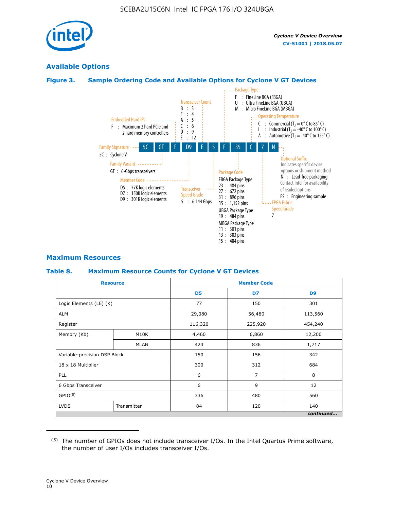

## **Available Options**

#### **Figure 3. Sample Ordering Code and Available Options for Cyclone V GT Devices**



#### **Maximum Resources**

#### **Table 8. Maximum Resource Counts for Cyclone V GT Devices**

|                              | <b>Resource</b> | <b>Member Code</b> |         |                |  |  |
|------------------------------|-----------------|--------------------|---------|----------------|--|--|
|                              |                 | D <sub>5</sub>     | D7      | D <sub>9</sub> |  |  |
| Logic Elements (LE) (K)      |                 | 77                 | 150     | 301            |  |  |
| <b>ALM</b>                   |                 | 29,080             | 56,480  | 113,560        |  |  |
| Register                     |                 | 116,320            | 225,920 | 454,240        |  |  |
| Memory (Kb)                  | M10K            | 4,460              | 6,860   | 12,200         |  |  |
|                              | <b>MLAB</b>     | 424                | 836     | 1,717          |  |  |
| Variable-precision DSP Block |                 | 150                | 156     | 342            |  |  |
| 18 x 18 Multiplier           |                 | 300                | 312     | 684            |  |  |
| PLL                          |                 | 6                  | 7       | 8              |  |  |
| 6 Gbps Transceiver           |                 | 6                  | 9       | 12             |  |  |
| GPIO <sup>(5)</sup>          |                 | 336                | 480     | 560            |  |  |
| <b>LVDS</b>                  | Transmitter     | 84                 | 120     | 140            |  |  |
|                              |                 |                    |         | continued      |  |  |

<sup>(5)</sup> The number of GPIOs does not include transceiver I/Os. In the Intel Quartus Prime software, the number of user I/Os includes transceiver I/Os.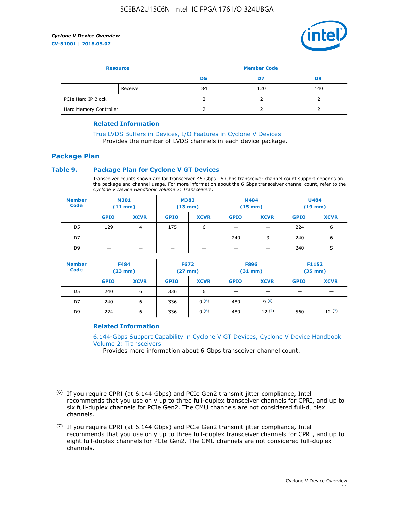

| <b>Resource</b>        |          | <b>Member Code</b> |     |     |  |  |
|------------------------|----------|--------------------|-----|-----|--|--|
|                        |          | D5                 | D7  | D9  |  |  |
|                        | Receiver | 84                 | 120 | 140 |  |  |
| PCIe Hard IP Block     |          |                    |     |     |  |  |
| Hard Memory Controller |          |                    |     |     |  |  |

#### **Related Information**

[True LVDS Buffers in Devices, I/O Features in Cyclone V Devices](https://www.altera.com/documentation/sam1403481100977.html#sam1403480885395) Provides the number of LVDS channels in each device package.

## **Package Plan**

#### **Table 9. Package Plan for Cyclone V GT Devices**

Transceiver counts shown are for transceiver ≤5 Gbps . 6 Gbps transceiver channel count support depends on the package and channel usage. For more information about the 6 Gbps transceiver channel count, refer to the *Cyclone V Device Handbook Volume 2: Transceivers*.

| <b>Member</b><br><b>Code</b> | <b>M301</b><br>(11 mm) |                | M383<br>$(13 \text{ mm})$ |             | M484<br>$(15 \text{ mm})$ |             | <b>U484</b><br>$(19$ mm) |             |
|------------------------------|------------------------|----------------|---------------------------|-------------|---------------------------|-------------|--------------------------|-------------|
|                              | <b>GPIO</b>            | <b>XCVR</b>    | <b>GPIO</b>               | <b>XCVR</b> | <b>GPIO</b>               | <b>XCVR</b> | <b>GPIO</b>              | <b>XCVR</b> |
| D5                           | 129                    | $\overline{4}$ | 175                       | 6           | -                         |             | 224                      | 6           |
| D7                           | -                      |                |                           |             | 240                       | 3           | 240                      | 6           |
| D <sub>9</sub>               | -                      | _              |                           |             | _                         |             | 240                      | 5           |

| <b>Member</b><br><b>Code</b> | <b>F484</b><br>$(23 \text{ mm})$ |             | <b>F672</b><br>$(27 \text{ mm})$ |             | <b>F896</b><br>$(31 \text{ mm})$ |             | F1152<br>$(35 \text{ mm})$ |             |
|------------------------------|----------------------------------|-------------|----------------------------------|-------------|----------------------------------|-------------|----------------------------|-------------|
|                              | <b>GPIO</b>                      | <b>XCVR</b> | <b>GPIO</b>                      | <b>XCVR</b> | <b>GPIO</b>                      | <b>XCVR</b> | <b>GPIO</b>                | <b>XCVR</b> |
| D <sub>5</sub>               | 240                              | 6           | 336                              | 6           | -                                |             | _                          |             |
| D7                           | 240                              | 6           | 336                              | q(6)        | 480                              | q(6)        | $\overline{\phantom{0}}$   | -           |
| D <sub>9</sub>               | 224                              | 6           | 336                              | 9(6)        | 480                              | 12(7)       | 560                        | 12(7)       |

#### **Related Information**

[6.144-Gbps Support Capability in Cyclone V GT Devices, Cyclone V Device Handbook](https://www.altera.com/documentation/nik1409855456781.html#nik1409855410757) [Volume 2: Transceivers](https://www.altera.com/documentation/nik1409855456781.html#nik1409855410757)

Provides more information about 6 Gbps transceiver channel count.

<sup>(6)</sup> If you require CPRI (at 6.144 Gbps) and PCIe Gen2 transmit jitter compliance, Intel recommends that you use only up to three full-duplex transceiver channels for CPRI, and up to six full-duplex channels for PCIe Gen2. The CMU channels are not considered full-duplex channels.

 $(7)$  If you require CPRI (at 6.144 Gbps) and PCIe Gen2 transmit jitter compliance, Intel recommends that you use only up to three full-duplex transceiver channels for CPRI, and up to eight full-duplex channels for PCIe Gen2. The CMU channels are not considered full-duplex channels.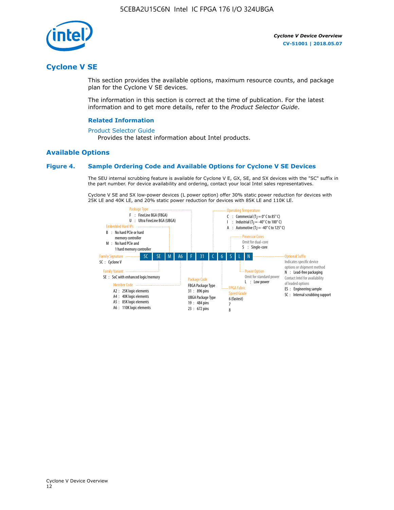

## **Cyclone V SE**

This section provides the available options, maximum resource counts, and package plan for the Cyclone V SE devices.

The information in this section is correct at the time of publication. For the latest information and to get more details, refer to the *Product Selector Guide*.

#### **Related Information**

#### [Product Selector Guide](https://www.altera.com/products/product-selector-guide.html)

Provides the latest information about Intel products.

#### **Available Options**

#### **Figure 4. Sample Ordering Code and Available Options for Cyclone V SE Devices**

The SEU internal scrubbing feature is available for Cyclone V E, GX, SE, and SX devices with the "SC" suffix in the part number. For device availability and ordering, contact your local Intel sales representatives.

Cyclone V SE and SX low-power devices (L power option) offer 30% static power reduction for devices with 25K LE and 40K LE, and 20% static power reduction for devices with 85K LE and 110K LE.

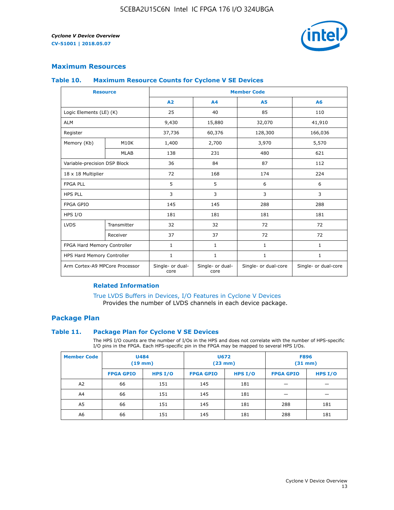

### **Maximum Resources**

#### **Table 10. Maximum Resource Counts for Cyclone V SE Devices**

|                                | <b>Resource</b>              | <b>Member Code</b>       |                          |                      |                      |  |
|--------------------------------|------------------------------|--------------------------|--------------------------|----------------------|----------------------|--|
|                                |                              | A <sub>2</sub>           | A <sub>4</sub>           | <b>A5</b>            | A6                   |  |
| Logic Elements (LE) (K)        |                              | 25                       | 40                       | 85                   | 110                  |  |
| <b>ALM</b>                     |                              | 9,430                    | 15,880                   | 32,070               | 41,910               |  |
| Register                       |                              | 37,736                   | 60,376                   | 128,300              | 166,036              |  |
| Memory (Kb)                    | M10K                         | 1,400                    | 2,700                    | 3,970                | 5,570                |  |
|                                | <b>MLAB</b>                  | 138                      | 231                      | 480                  | 621                  |  |
|                                | Variable-precision DSP Block |                          | 84                       | 87                   | 112                  |  |
| 18 x 18 Multiplier             |                              | 72                       | 168                      | 174                  | 224                  |  |
| <b>FPGA PLL</b>                |                              | 5                        | 5                        | 6                    | 6                    |  |
| <b>HPS PLL</b>                 |                              | 3                        | 3                        | 3                    | 3                    |  |
| <b>FPGA GPIO</b>               |                              | 145                      | 145                      | 288                  | 288                  |  |
| HPS I/O                        |                              | 181                      | 181                      | 181                  | 181                  |  |
| <b>LVDS</b>                    | Transmitter                  | 32                       | 32                       | 72                   | 72                   |  |
|                                | Receiver                     | 37                       | 37                       | 72                   | 72                   |  |
| FPGA Hard Memory Controller    |                              | 1                        | $\mathbf{1}$             | $\mathbf{1}$         | $\mathbf{1}$         |  |
| HPS Hard Memory Controller     |                              | $\mathbf{1}$             | $\mathbf{1}$             | $\mathbf{1}$         | $\mathbf{1}$         |  |
| Arm Cortex-A9 MPCore Processor |                              | Single- or dual-<br>core | Single- or dual-<br>core | Single- or dual-core | Single- or dual-core |  |

#### **Related Information**

[True LVDS Buffers in Devices, I/O Features in Cyclone V Devices](https://www.altera.com/documentation/sam1403481100977.html#sam1403480885395) Provides the number of LVDS channels in each device package.

#### **Package Plan**

#### **Table 11. Package Plan for Cyclone V SE Devices**

The HPS I/O counts are the number of I/Os in the HPS and does not correlate with the number of HPS-specific I/O pins in the FPGA. Each HPS-specific pin in the FPGA may be mapped to several HPS I/Os.

| <b>Member Code</b> | <b>U484</b><br>$(19$ mm) |           | <b>U672</b><br>(23 mm) |         | <b>F896</b><br>$(31$ mm $)$ |           |
|--------------------|--------------------------|-----------|------------------------|---------|-----------------------------|-----------|
|                    | <b>FPGA GPIO</b>         | HPS $I/O$ | <b>FPGA GPIO</b>       | HPS I/O | <b>FPGA GPIO</b>            | HPS $I/O$ |
| A <sub>2</sub>     | 66                       | 151       | 145                    | 181     |                             |           |
| A4                 | 66                       | 151       | 145                    | 181     |                             |           |
| A <sub>5</sub>     | 66                       | 151       | 145                    | 181     | 288                         | 181       |
| A6                 | 66                       | 151       | 145                    | 181     | 288                         | 181       |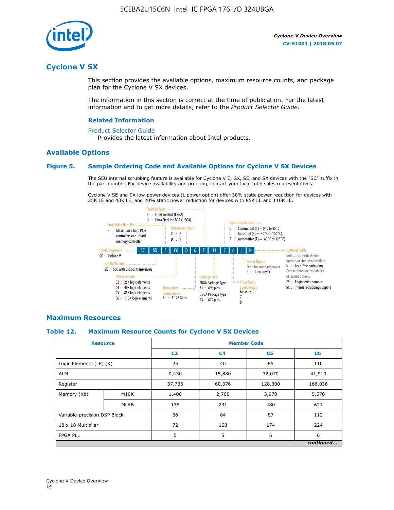

## **Cyclone V SX**

This section provides the available options, maximum resource counts, and package plan for the Cyclone V SX devices.

The information in this section is correct at the time of publication. For the latest information and to get more details, refer to the *Product Selector Guide*.

#### **Related Information**

#### [Product Selector Guide](https://www.altera.com/products/product-selector-guide.html)

Provides the latest information about Intel products.

#### **Available Options**

#### **Figure 5. Sample Ordering Code and Available Options for Cyclone V SX Devices**

The SEU internal scrubbing feature is available for Cyclone V E, GX, SE, and SX devices with the "SC" suffix in the part number. For device availability and ordering, contact your local Intel sales representatives.

Cyclone V SE and SX low-power devices (L power option) offer 30% static power reduction for devices with 25K LE and 40K LE, and 20% static power reduction for devices with 85K LE and 110K LE.



#### **Maximum Resources**

#### **Table 12. Maximum Resource Counts for Cyclone V SX Devices**

|                              | <b>Resource</b> | <b>Member Code</b> |                |                |           |  |
|------------------------------|-----------------|--------------------|----------------|----------------|-----------|--|
|                              |                 | C <sub>2</sub>     | C <sub>4</sub> | C <sub>5</sub> | C6        |  |
| Logic Elements (LE) (K)      |                 | 25                 | 40             | 85             | 110       |  |
| <b>ALM</b>                   |                 | 9,430              | 15,880         | 32,070         | 41,910    |  |
| Register                     |                 | 37,736             | 60,376         | 128,300        | 166,036   |  |
| Memory (Kb)                  | M10K            | 1,400              | 2,700          | 3,970          | 5,570     |  |
|                              | <b>MLAB</b>     | 138                | 231            | 480            | 621       |  |
| Variable-precision DSP Block |                 | 36                 | 84             | 87             | 112       |  |
| 18 x 18 Multiplier           |                 | 72                 | 168            | 174            | 224       |  |
| <b>FPGA PLL</b>              |                 | 5                  | 5              | 6              | 6         |  |
|                              |                 |                    |                |                | continued |  |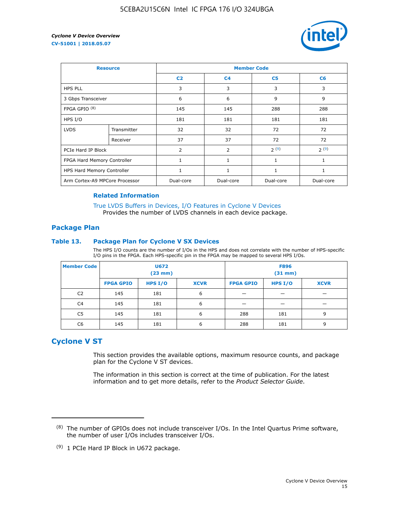

| <b>Resource</b>                |             | <b>Member Code</b> |                |                |           |  |  |
|--------------------------------|-------------|--------------------|----------------|----------------|-----------|--|--|
|                                |             | C <sub>2</sub>     | C <sub>4</sub> | C <sub>5</sub> | C6        |  |  |
| <b>HPS PLL</b>                 |             | 3                  | 3              | 3              | 3         |  |  |
| 3 Gbps Transceiver             |             | 6                  | 6              | 9              | 9         |  |  |
| FPGA GPIO $(8)$                |             | 145                | 145            | 288            | 288       |  |  |
| HPS I/O                        |             | 181                | 181            | 181            | 181       |  |  |
| <b>LVDS</b>                    | Transmitter | 32                 | 32             | 72             | 72        |  |  |
|                                | Receiver    | 37                 | 37             | 72             | 72        |  |  |
| PCIe Hard IP Block             |             | $\overline{2}$     | $\overline{2}$ | 2(9)           | 2(9)      |  |  |
| FPGA Hard Memory Controller    |             | 1                  | $\mathbf{1}$   | 1              | 1         |  |  |
| HPS Hard Memory Controller     |             | 1                  | 1              | $\mathbf{1}$   | 1         |  |  |
| Arm Cortex-A9 MPCore Processor |             | Dual-core          | Dual-core      | Dual-core      | Dual-core |  |  |

#### **Related Information**

[True LVDS Buffers in Devices, I/O Features in Cyclone V Devices](https://www.altera.com/documentation/sam1403481100977.html#sam1403480885395) Provides the number of LVDS channels in each device package.

#### **Package Plan**

#### **Table 13. Package Plan for Cyclone V SX Devices**

The HPS I/O counts are the number of I/Os in the HPS and does not correlate with the number of HPS-specific I/O pins in the FPGA. Each HPS-specific pin in the FPGA may be mapped to several HPS I/Os.

| <b>Member Code</b> | U672<br>(23 mm)  |           | <b>F896</b><br>$(31$ mm $)$ |                  |         |             |
|--------------------|------------------|-----------|-----------------------------|------------------|---------|-------------|
|                    | <b>FPGA GPIO</b> | HPS $I/O$ | <b>XCVR</b>                 | <b>FPGA GPIO</b> | HPS I/O | <b>XCVR</b> |
| C <sub>2</sub>     | 145              | 181       | 6                           |                  |         |             |
| C4                 | 145              | 181       | 6                           |                  |         |             |
| C <sub>5</sub>     | 145              | 181       | 6                           | 288              | 181     | 9           |
| C6                 | 145              | 181       | 6                           | 288              | 181     | 9           |

## **Cyclone V ST**

This section provides the available options, maximum resource counts, and package plan for the Cyclone V ST devices.

The information in this section is correct at the time of publication. For the latest information and to get more details, refer to the *Product Selector Guide*.

 $(8)$  The number of GPIOs does not include transceiver I/Os. In the Intel Quartus Prime software, the number of user I/Os includes transceiver I/Os.

<sup>(9)</sup> 1 PCIe Hard IP Block in U672 package.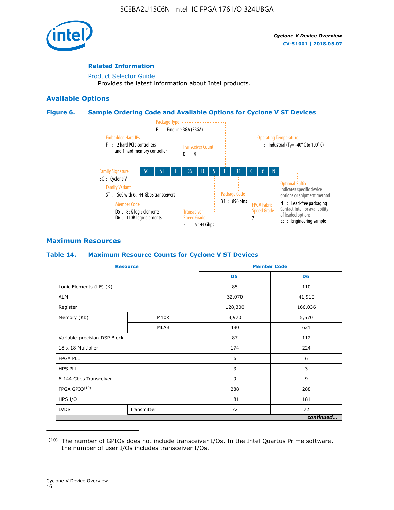

#### **Related Information**

[Product Selector Guide](https://www.altera.com/products/product-selector-guide.html) Provides the latest information about Intel products.

#### **Available Options**

#### **Figure 6. Sample Ordering Code and Available Options for Cyclone V ST Devices**



## **Maximum Resources**

#### **Table 14. Maximum Resource Counts for Cyclone V ST Devices**

| <b>Resource</b>              |             |                | <b>Member Code</b> |
|------------------------------|-------------|----------------|--------------------|
|                              |             | D <sub>5</sub> | D <sub>6</sub>     |
| Logic Elements (LE) (K)      |             | 85             | 110                |
| <b>ALM</b>                   |             | 32,070         | 41,910             |
| Register                     |             | 128,300        | 166,036            |
| Memory (Kb)                  | M10K        | 3,970          | 5,570              |
|                              | <b>MLAB</b> | 480            | 621                |
| Variable-precision DSP Block |             | 87             | 112                |
| 18 x 18 Multiplier           |             | 174            | 224                |
| <b>FPGA PLL</b>              |             | 6              | 6                  |
| <b>HPS PLL</b>               |             | 3              | 3                  |
| 6.144 Gbps Transceiver       |             | 9              | 9                  |
| FPGA GPIO(10)                |             | 288            | 288                |
| HPS I/O                      |             | 181            | 181                |
| <b>LVDS</b><br>Transmitter   |             | 72             | 72                 |
|                              |             |                | continued          |

<sup>(10)</sup> The number of GPIOs does not include transceiver I/Os. In the Intel Quartus Prime software, the number of user I/Os includes transceiver I/Os.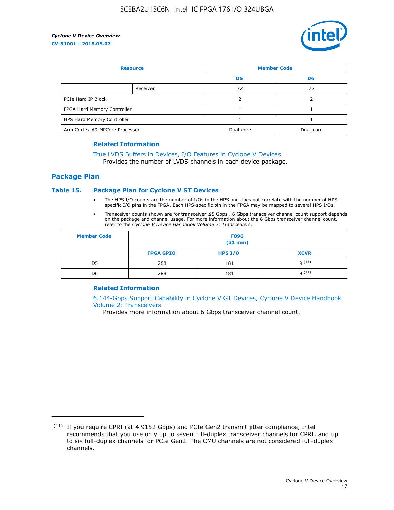

| <b>Resource</b>                |          | <b>Member Code</b> |                |  |
|--------------------------------|----------|--------------------|----------------|--|
|                                |          | D <sub>5</sub>     | D <sub>6</sub> |  |
|                                | Receiver | 72                 | 72             |  |
| PCIe Hard IP Block             |          |                    |                |  |
| FPGA Hard Memory Controller    |          |                    |                |  |
| HPS Hard Memory Controller     |          |                    |                |  |
| Arm Cortex-A9 MPCore Processor |          | Dual-core          | Dual-core      |  |

#### **Related Information**

## [True LVDS Buffers in Devices, I/O Features in Cyclone V Devices](https://www.altera.com/documentation/sam1403481100977.html#sam1403480885395)

Provides the number of LVDS channels in each device package.

#### **Package Plan**

#### **Table 15. Package Plan for Cyclone V ST Devices**

- The HPS I/O counts are the number of I/Os in the HPS and does not correlate with the number of HPSspecific I/O pins in the FPGA. Each HPS-specific pin in the FPGA may be mapped to several HPS I/Os.
- Transceiver counts shown are for transceiver ≤5 Gbps . 6 Gbps transceiver channel count support depends on the package and channel usage. For more information about the 6 Gbps transceiver channel count, refer to the *Cyclone V Device Handbook Volume 2: Transceivers*.

| <b>Member Code</b> | <b>F896</b><br>$(31$ mm $)$ |           |             |  |  |
|--------------------|-----------------------------|-----------|-------------|--|--|
|                    | <b>FPGA GPIO</b>            | HPS $I/O$ | <b>XCVR</b> |  |  |
| D <sub>5</sub>     | 288                         | 181       | 9(11)       |  |  |
| D <sub>6</sub>     | 288                         | 181       | q(11)       |  |  |

#### **Related Information**

[6.144-Gbps Support Capability in Cyclone V GT Devices, Cyclone V Device Handbook](https://www.altera.com/documentation/nik1409855456781.html#nik1409855410757) [Volume 2: Transceivers](https://www.altera.com/documentation/nik1409855456781.html#nik1409855410757)

Provides more information about 6 Gbps transceiver channel count.

<sup>(11)</sup> If you require CPRI (at 4.9152 Gbps) and PCIe Gen2 transmit jitter compliance, Intel recommends that you use only up to seven full-duplex transceiver channels for CPRI, and up to six full-duplex channels for PCIe Gen2. The CMU channels are not considered full-duplex channels.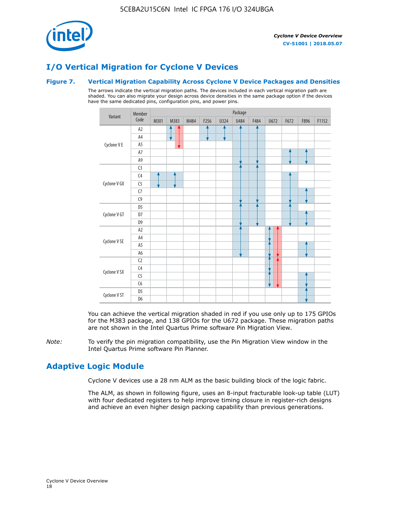

# **I/O Vertical Migration for Cyclone V Devices**

#### **Figure 7. Vertical Migration Capability Across Cyclone V Device Packages and Densities**

The arrows indicate the vertical migration paths. The devices included in each vertical migration path are shaded. You can also migrate your design across device densities in the same package option if the devices have the same dedicated pins, configuration pins, and power pins.



You can achieve the vertical migration shaded in red if you use only up to 175 GPIOs for the M383 package, and 138 GPIOs for the U672 package. These migration paths are not shown in the Intel Quartus Prime software Pin Migration View.

*Note:* To verify the pin migration compatibility, use the Pin Migration View window in the Intel Quartus Prime software Pin Planner.

## **Adaptive Logic Module**

Cyclone V devices use a 28 nm ALM as the basic building block of the logic fabric.

The ALM, as shown in following figure, uses an 8-input fracturable look-up table (LUT) with four dedicated registers to help improve timing closure in register-rich designs and achieve an even higher design packing capability than previous generations.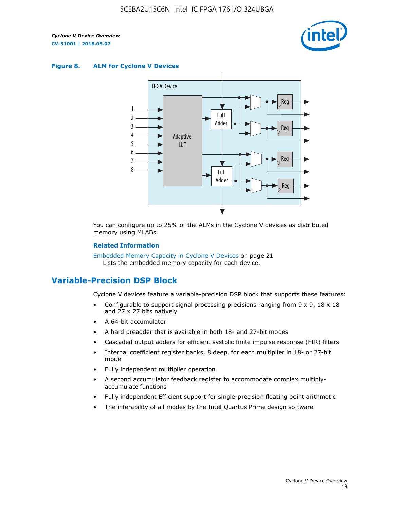

#### **Figure 8. ALM for Cyclone V Devices**



You can configure up to 25% of the ALMs in the Cyclone V devices as distributed memory using MLABs.

#### **Related Information**

Embedded Memory Capacity in Cyclone V Devices on page 21 Lists the embedded memory capacity for each device.

## **Variable-Precision DSP Block**

Cyclone V devices feature a variable-precision DSP block that supports these features:

- Configurable to support signal processing precisions ranging from  $9 \times 9$ ,  $18 \times 18$ and 27 x 27 bits natively
- A 64-bit accumulator
- A hard preadder that is available in both 18- and 27-bit modes
- Cascaded output adders for efficient systolic finite impulse response (FIR) filters
- Internal coefficient register banks, 8 deep, for each multiplier in 18- or 27-bit mode
- Fully independent multiplier operation
- A second accumulator feedback register to accommodate complex multiplyaccumulate functions
- Fully independent Efficient support for single-precision floating point arithmetic
- The inferability of all modes by the Intel Quartus Prime design software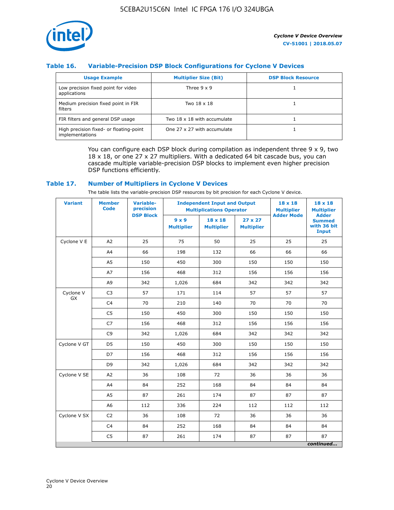

### **Table 16. Variable-Precision DSP Block Configurations for Cyclone V Devices**

| <b>Usage Example</b>                                       | <b>Multiplier Size (Bit)</b> | <b>DSP Block Resource</b> |
|------------------------------------------------------------|------------------------------|---------------------------|
| Low precision fixed point for video<br>applications        | Three $9 \times 9$           |                           |
| Medium precision fixed point in FIR<br>filters             | Two 18 x 18                  |                           |
| FIR filters and general DSP usage                          | Two 18 x 18 with accumulate  |                           |
| High precision fixed- or floating-point<br>implementations | One 27 x 27 with accumulate  |                           |

You can configure each DSP block during compilation as independent three  $9 \times 9$ , two 18 x 18, or one 27 x 27 multipliers. With a dedicated 64 bit cascade bus, you can cascade multiple variable-precision DSP blocks to implement even higher precision DSP functions efficiently.

#### **Table 17. Number of Multipliers in Cyclone V Devices**

The table lists the variable-precision DSP resources by bit precision for each Cyclone V device.

| <b>Variant</b>  | <b>Member</b><br><b>Code</b> | <b>Variable-</b><br>precision |                                   | <b>Independent Input and Output</b><br><b>Multiplications Operator</b> | $18 \times 18$<br><b>Multiplier</b> | $18 \times 18$<br><b>Multiplier</b> |                                                              |
|-----------------|------------------------------|-------------------------------|-----------------------------------|------------------------------------------------------------------------|-------------------------------------|-------------------------------------|--------------------------------------------------------------|
|                 |                              | <b>DSP Block</b>              | $9 \times 9$<br><b>Multiplier</b> | $18 \times 18$<br><b>Multiplier</b>                                    | $27 \times 27$<br><b>Multiplier</b> | <b>Adder Mode</b>                   | <b>Adder</b><br><b>Summed</b><br>with 36 bit<br><b>Input</b> |
| Cyclone V E     | A2                           | 25                            | 75                                | 50                                                                     | 25                                  | 25                                  | 25                                                           |
|                 | A4                           | 66                            | 198                               | 132                                                                    | 66                                  | 66                                  | 66                                                           |
|                 | A5                           | 150                           | 450                               | 300                                                                    | 150                                 | 150                                 | 150                                                          |
|                 | A7                           | 156                           | 468                               | 312                                                                    | 156                                 | 156                                 | 156                                                          |
|                 | A9                           | 342                           | 1,026                             | 684                                                                    | 342                                 | 342                                 | 342                                                          |
| Cyclone V<br>GX | C <sub>3</sub>               | 57                            | 171                               | 114                                                                    | 57                                  | 57                                  | 57                                                           |
|                 | C <sub>4</sub>               | 70                            | 210                               | 140                                                                    | 70                                  | 70                                  | 70                                                           |
|                 | C <sub>5</sub>               | 150                           | 450                               | 300                                                                    | 150                                 | 150                                 | 150                                                          |
|                 | C7                           | 156                           | 468                               | 312                                                                    | 156                                 | 156                                 | 156                                                          |
|                 | C <sub>9</sub>               | 342                           | 1,026                             | 684                                                                    | 342                                 | 342                                 | 342                                                          |
| Cyclone V GT    | D <sub>5</sub>               | 150                           | 450                               | 300                                                                    | 150                                 | 150                                 | 150                                                          |
|                 | D7                           | 156                           | 468                               | 312                                                                    | 156                                 | 156                                 | 156                                                          |
|                 | D <sub>9</sub>               | 342                           | 1,026                             | 684                                                                    | 342                                 | 342                                 | 342                                                          |
| Cyclone V SE    | A <sub>2</sub>               | 36                            | 108                               | 72                                                                     | 36                                  | 36                                  | 36                                                           |
|                 | A4                           | 84                            | 252                               | 168                                                                    | 84                                  | 84                                  | 84                                                           |
|                 | A5                           | 87                            | 261                               | 174                                                                    | 87                                  | 87                                  | 87                                                           |
|                 | A <sub>6</sub>               | 112                           | 336                               | 224                                                                    | 112                                 | 112                                 | 112                                                          |
| Cyclone V SX    | C <sub>2</sub>               | 36                            | 108                               | 72                                                                     | 36                                  | 36                                  | 36                                                           |
|                 | C <sub>4</sub>               | 84                            | 252                               | 168                                                                    | 84                                  | 84                                  | 84                                                           |
|                 | C <sub>5</sub>               | 87                            | 261                               | 174                                                                    | 87                                  | 87                                  | 87                                                           |
|                 |                              |                               |                                   |                                                                        |                                     |                                     | continued                                                    |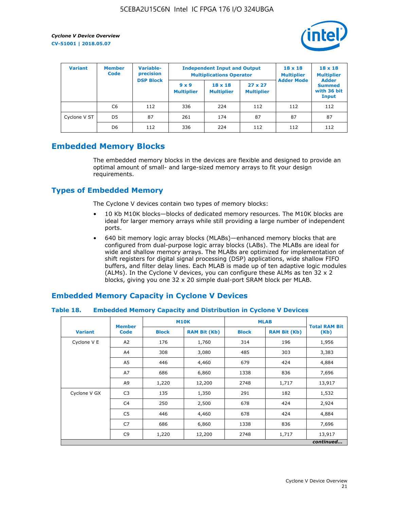

| <b>Variant</b> | <b>Variable-</b><br><b>Member</b><br>precision<br><b>Code</b><br><b>DSP Block</b> |     | <b>Independent Input and Output</b><br><b>Multiplications Operator</b> | $18 \times 18$<br><b>Multiplier</b> | $18 \times 18$<br><b>Multiplier</b><br><b>Adder</b> |                   |                                       |
|----------------|-----------------------------------------------------------------------------------|-----|------------------------------------------------------------------------|-------------------------------------|-----------------------------------------------------|-------------------|---------------------------------------|
|                |                                                                                   |     | $9 \times 9$<br><b>Multiplier</b>                                      | $18 \times 18$<br><b>Multiplier</b> | $27 \times 27$<br><b>Multiplier</b>                 | <b>Adder Mode</b> | <b>Summed</b><br>with 36 bit<br>Input |
|                | C6                                                                                | 112 | 336                                                                    | 224                                 | 112                                                 | 112               | 112                                   |
| Cyclone V ST   | D <sub>5</sub>                                                                    | 87  | 261                                                                    | 174                                 | 87                                                  | 87                | 87                                    |
|                | D <sub>6</sub>                                                                    | 112 | 336                                                                    | 224                                 | 112                                                 | 112               | 112                                   |

## **Embedded Memory Blocks**

The embedded memory blocks in the devices are flexible and designed to provide an optimal amount of small- and large-sized memory arrays to fit your design requirements.

## **Types of Embedded Memory**

The Cyclone V devices contain two types of memory blocks:

- 10 Kb M10K blocks—blocks of dedicated memory resources. The M10K blocks are ideal for larger memory arrays while still providing a large number of independent ports.
- 640 bit memory logic array blocks (MLABs)—enhanced memory blocks that are configured from dual-purpose logic array blocks (LABs). The MLABs are ideal for wide and shallow memory arrays. The MLABs are optimized for implementation of shift registers for digital signal processing (DSP) applications, wide shallow FIFO buffers, and filter delay lines. Each MLAB is made up of ten adaptive logic modules (ALMs). In the Cyclone V devices, you can configure these ALMs as ten 32 x 2 blocks, giving you one 32 x 20 simple dual-port SRAM block per MLAB.

## **Embedded Memory Capacity in Cyclone V Devices**

#### **Table 18. Embedded Memory Capacity and Distribution in Cyclone V Devices**

|                | <b>Member</b>  | <b>M10K</b>  |                     | <b>MLAB</b>  | <b>Total RAM Bit</b> |           |
|----------------|----------------|--------------|---------------------|--------------|----------------------|-----------|
| <b>Variant</b> | <b>Code</b>    | <b>Block</b> | <b>RAM Bit (Kb)</b> | <b>Block</b> | <b>RAM Bit (Kb)</b>  | (Kb)      |
| Cyclone V E    | A2             | 176          | 1,760               | 314          | 196                  | 1,956     |
|                | A4             | 308          | 3,080               | 485          | 303                  | 3,383     |
|                | A5             | 446          | 4,460               | 679          | 424                  | 4,884     |
|                | A7             | 686          | 6,860               | 1338         | 836                  | 7,696     |
|                | A9             | 1,220        | 12,200              | 2748         | 1,717                | 13,917    |
| Cyclone V GX   | C <sub>3</sub> | 135          | 1,350               | 291          | 182                  | 1,532     |
|                | C4             | 250          | 2,500               | 678          | 424                  | 2,924     |
|                | C5             | 446          | 4,460               | 678          | 424                  | 4,884     |
|                | C7             | 686          | 6,860               | 1338         | 836                  | 7,696     |
|                | C <sub>9</sub> | 1,220        | 12,200              | 2748         | 1,717                | 13,917    |
|                |                |              |                     |              |                      | continued |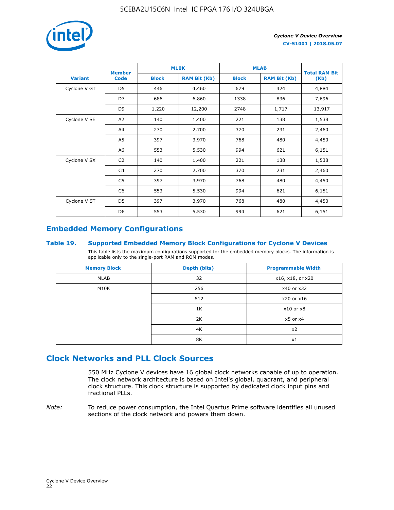

|                | <b>Member</b>  | <b>M10K</b>  |                     | <b>MLAB</b>  | <b>Total RAM Bit</b> |        |  |
|----------------|----------------|--------------|---------------------|--------------|----------------------|--------|--|
| <b>Variant</b> | <b>Code</b>    | <b>Block</b> | <b>RAM Bit (Kb)</b> | <b>Block</b> | <b>RAM Bit (Kb)</b>  | (Kb)   |  |
| Cyclone V GT   | D <sub>5</sub> | 446          | 4,460               | 679          | 424                  | 4,884  |  |
|                | D7             | 686          | 6,860               | 1338         | 836                  | 7,696  |  |
|                | D <sub>9</sub> | 1,220        | 12,200              | 2748         | 1,717                | 13,917 |  |
| Cyclone V SE   | A <sub>2</sub> | 140          | 1,400               | 221          | 138                  | 1,538  |  |
|                | A4             | 270          | 2,700               | 370          | 231                  | 2,460  |  |
|                | A5             | 397          | 3,970               | 768          | 480                  | 4,450  |  |
|                | A6             | 553          | 5,530               | 994          | 621                  | 6,151  |  |
| Cyclone V SX   | C <sub>2</sub> | 140          | 1,400               | 221          | 138                  | 1,538  |  |
|                | C4             | 270          | 2,700               | 370          | 231                  | 2,460  |  |
|                | C5             | 397          | 3,970               | 768          | 480                  | 4,450  |  |
|                | C <sub>6</sub> | 553          | 5,530               | 994          | 621                  | 6,151  |  |
| Cyclone V ST   | D <sub>5</sub> | 397          | 3,970               | 768          | 480                  | 4,450  |  |
|                | D <sub>6</sub> | 553          | 5,530               | 994          | 621                  | 6,151  |  |

## **Embedded Memory Configurations**

#### **Table 19. Supported Embedded Memory Block Configurations for Cyclone V Devices**

This table lists the maximum configurations supported for the embedded memory blocks. The information is applicable only to the single-port RAM and ROM modes.

| <b>Memory Block</b> | Depth (bits) | <b>Programmable Width</b> |
|---------------------|--------------|---------------------------|
| MLAB                | 32           | x16, x18, or x20          |
| M10K                | 256          | x40 or x32                |
|                     | 512          | x20 or x16                |
|                     | 1K           | $x10$ or $x8$             |
|                     | 2K           | $x5$ or $x4$              |
|                     | 4K           | x2                        |
|                     | 8K           | x1                        |

## **Clock Networks and PLL Clock Sources**

550 MHz Cyclone V devices have 16 global clock networks capable of up to operation. The clock network architecture is based on Intel's global, quadrant, and peripheral clock structure. This clock structure is supported by dedicated clock input pins and fractional PLLs.

*Note:* To reduce power consumption, the Intel Quartus Prime software identifies all unused sections of the clock network and powers them down.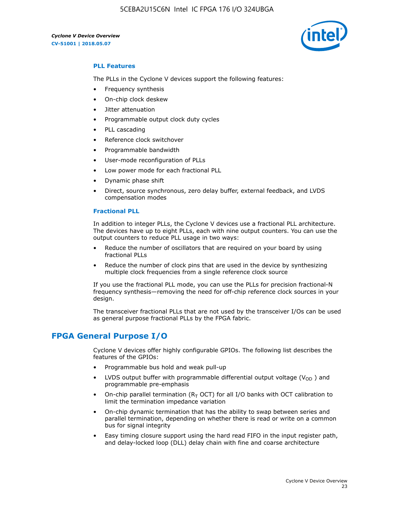5CEBA2U15C6N Intel IC FPGA 176 I/O 324UBGA

*Cyclone V Device Overview* **CV-51001 | 2018.05.07**



#### **PLL Features**

The PLLs in the Cyclone V devices support the following features:

- Frequency synthesis
- On-chip clock deskew
- Jitter attenuation
- Programmable output clock duty cycles
- PLL cascading
- Reference clock switchover
- Programmable bandwidth
- User-mode reconfiguration of PLLs
- Low power mode for each fractional PLL
- Dynamic phase shift
- Direct, source synchronous, zero delay buffer, external feedback, and LVDS compensation modes

#### **Fractional PLL**

In addition to integer PLLs, the Cyclone V devices use a fractional PLL architecture. The devices have up to eight PLLs, each with nine output counters. You can use the output counters to reduce PLL usage in two ways:

- Reduce the number of oscillators that are required on your board by using fractional PLLs
- Reduce the number of clock pins that are used in the device by synthesizing multiple clock frequencies from a single reference clock source

If you use the fractional PLL mode, you can use the PLLs for precision fractional-N frequency synthesis—removing the need for off-chip reference clock sources in your design.

The transceiver fractional PLLs that are not used by the transceiver I/Os can be used as general purpose fractional PLLs by the FPGA fabric.

## **FPGA General Purpose I/O**

Cyclone V devices offer highly configurable GPIOs. The following list describes the features of the GPIOs:

- Programmable bus hold and weak pull-up
- LVDS output buffer with programmable differential output voltage ( $V_{OD}$ ) and programmable pre-emphasis
- On-chip parallel termination ( $R<sub>T</sub>$  OCT) for all I/O banks with OCT calibration to limit the termination impedance variation
- On-chip dynamic termination that has the ability to swap between series and parallel termination, depending on whether there is read or write on a common bus for signal integrity
- Easy timing closure support using the hard read FIFO in the input register path, and delay-locked loop (DLL) delay chain with fine and coarse architecture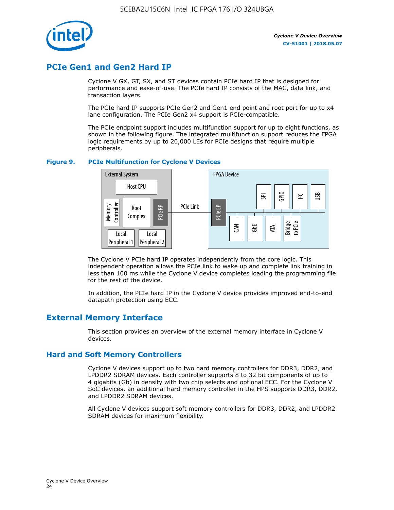

## **PCIe Gen1 and Gen2 Hard IP**

Cyclone V GX, GT, SX, and ST devices contain PCIe hard IP that is designed for performance and ease-of-use. The PCIe hard IP consists of the MAC, data link, and transaction layers.

The PCIe hard IP supports PCIe Gen2 and Gen1 end point and root port for up to x4 lane configuration. The PCIe Gen2 x4 support is PCIe-compatible.

The PCIe endpoint support includes multifunction support for up to eight functions, as shown in the following figure. The integrated multifunction support reduces the FPGA logic requirements by up to 20,000 LEs for PCIe designs that require multiple peripherals.

#### **Figure 9. PCIe Multifunction for Cyclone V Devices**



The Cyclone V PCIe hard IP operates independently from the core logic. This independent operation allows the PCIe link to wake up and complete link training in less than 100 ms while the Cyclone V device completes loading the programming file for the rest of the device.

In addition, the PCIe hard IP in the Cyclone V device provides improved end-to-end datapath protection using ECC.

## **External Memory Interface**

This section provides an overview of the external memory interface in Cyclone V devices.

#### **Hard and Soft Memory Controllers**

Cyclone V devices support up to two hard memory controllers for DDR3, DDR2, and LPDDR2 SDRAM devices. Each controller supports 8 to 32 bit components of up to 4 gigabits (Gb) in density with two chip selects and optional ECC. For the Cyclone V SoC devices, an additional hard memory controller in the HPS supports DDR3, DDR2, and LPDDR2 SDRAM devices.

All Cyclone V devices support soft memory controllers for DDR3, DDR2, and LPDDR2 SDRAM devices for maximum flexibility.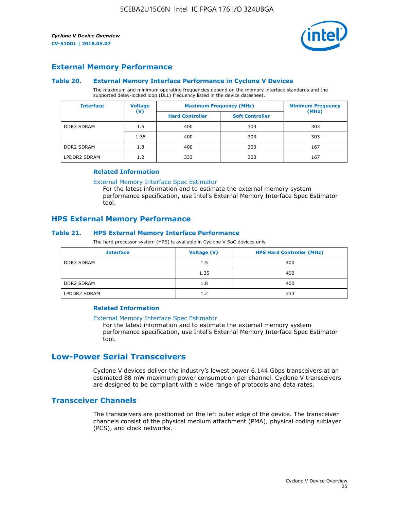

## **External Memory Performance**

#### **Table 20. External Memory Interface Performance in Cyclone V Devices**

The maximum and minimum operating frequencies depend on the memory interface standards and the supported delay-locked loop (DLL) frequency listed in the device datasheet.

| <b>Interface</b>  | <b>Voltage</b> | <b>Maximum Frequency (MHz)</b> | <b>Minimum Frequency</b> |       |
|-------------------|----------------|--------------------------------|--------------------------|-------|
|                   | $(\mathsf{V})$ | <b>Hard Controller</b>         | <b>Soft Controller</b>   | (MHz) |
| <b>DDR3 SDRAM</b> | 1.5            | 400                            | 303                      | 303   |
|                   | 1.35           | 400                            | 303                      | 303   |
| <b>DDR2 SDRAM</b> | 1.8            | 400                            | 300                      | 167   |
| LPDDR2 SDRAM      | 1.2            | 333                            | 300                      | 167   |

#### **Related Information**

[External Memory Interface Spec Estimator](https://www.altera.com/solutions/technology/external-memory/spec-estimator.html)

For the latest information and to estimate the external memory system performance specification, use Intel's External Memory Interface Spec Estimator tool.

## **HPS External Memory Performance**

#### **Table 21. HPS External Memory Interface Performance**

The hard processor system (HPS) is available in Cyclone V SoC devices only.

| <b>Interface</b>  | <b>Voltage (V)</b> | <b>HPS Hard Controller (MHz)</b> |
|-------------------|--------------------|----------------------------------|
| <b>DDR3 SDRAM</b> | 1.5                | 400                              |
|                   | 1.35               | 400                              |
| <b>DDR2 SDRAM</b> | 1.8                | 400                              |
| LPDDR2 SDRAM      | 1.2                | 333                              |

#### **Related Information**

#### [External Memory Interface Spec Estimator](https://www.altera.com/solutions/technology/external-memory/spec-estimator.html)

For the latest information and to estimate the external memory system performance specification, use Intel's External Memory Interface Spec Estimator tool.

## **Low-Power Serial Transceivers**

Cyclone V devices deliver the industry's lowest power 6.144 Gbps transceivers at an estimated 88 mW maximum power consumption per channel. Cyclone V transceivers are designed to be compliant with a wide range of protocols and data rates.

## **Transceiver Channels**

The transceivers are positioned on the left outer edge of the device. The transceiver channels consist of the physical medium attachment (PMA), physical coding sublayer (PCS), and clock networks.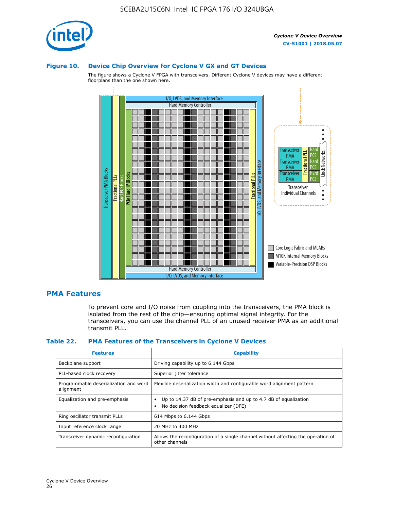

#### **Figure 10. Device Chip Overview for Cyclone V GX and GT Devices**

The figure shows a Cyclone V FPGA with transceivers. Different Cyclone V devices may have a different floorplans than the one shown here.



#### **PMA Features**

To prevent core and I/O noise from coupling into the transceivers, the PMA block is isolated from the rest of the chip—ensuring optimal signal integrity. For the transceivers, you can use the channel PLL of an unused receiver PMA as an additional transmit PLL.

#### **Table 22. PMA Features of the Transceivers in Cyclone V Devices**

| <b>Features</b>                                    | <b>Capability</b>                                                                                       |
|----------------------------------------------------|---------------------------------------------------------------------------------------------------------|
| Backplane support                                  | Driving capability up to 6.144 Gbps                                                                     |
| PLL-based clock recovery                           | Superior jitter tolerance                                                                               |
| Programmable deserialization and word<br>alignment | Flexible deserialization width and configurable word alignment pattern                                  |
| Equalization and pre-emphasis                      | Up to 14.37 dB of pre-emphasis and up to 4.7 dB of equalization<br>No decision feedback equalizer (DFE) |
| Ring oscillator transmit PLLs                      | 614 Mbps to 6.144 Gbps                                                                                  |
| Input reference clock range                        | 20 MHz to 400 MHz                                                                                       |
| Transceiver dynamic reconfiguration                | Allows the reconfiguration of a single channel without affecting the operation of<br>other channels     |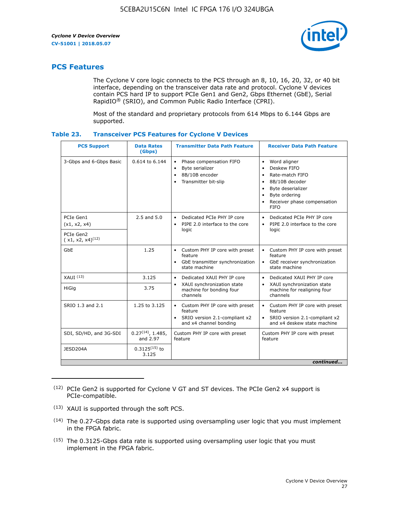

## **PCS Features**

The Cyclone V core logic connects to the PCS through an 8, 10, 16, 20, 32, or 40 bit interface, depending on the transceiver data rate and protocol. Cyclone V devices contain PCS hard IP to support PCIe Gen1 and Gen2, Gbps Ethernet (GbE), Serial RapidIO® (SRIO), and Common Public Radio Interface (CPRI).

Most of the standard and proprietary protocols from 614 Mbps to 6.144 Gbps are supported.

| Table 23. | <b>Transceiver PCS Features for Cyclone V Devices</b> |  |  |
|-----------|-------------------------------------------------------|--|--|
|           |                                                       |  |  |

| <b>PCS Support</b>                 | <b>Data Rates</b><br>(Gbps)        | <b>Transmitter Data Path Feature</b>                                                                         | <b>Receiver Data Path Feature</b>                                                                                                                                                                                                  |  |  |  |
|------------------------------------|------------------------------------|--------------------------------------------------------------------------------------------------------------|------------------------------------------------------------------------------------------------------------------------------------------------------------------------------------------------------------------------------------|--|--|--|
| 3-Gbps and 6-Gbps Basic            | 0.614 to 6.144                     | • Phase compensation FIFO<br>Byte serializer<br>8B/10B encoder<br>Transmitter bit-slip                       | Word aligner<br>$\bullet$<br>Deskew FIFO<br>$\bullet$<br>Rate-match FIFO<br>$\bullet$<br>8B/10B decoder<br>$\bullet$<br>Byte deserializer<br>$\bullet$<br>Byte ordering<br>$\bullet$<br>Receiver phase compensation<br><b>FIFO</b> |  |  |  |
| PCIe Gen1<br>(x1, x2, x4)          | $2.5$ and $5.0$                    | Dedicated PCIe PHY IP core<br>PIPE 2.0 interface to the core<br>$\bullet$<br>logic                           | Dedicated PCIe PHY IP core<br>$\bullet$<br>PIPE 2.0 interface to the core<br>$\bullet$<br>logic                                                                                                                                    |  |  |  |
| PCIe Gen2<br>$(x1, x2, x4)^{(12)}$ |                                    |                                                                                                              |                                                                                                                                                                                                                                    |  |  |  |
| GbE                                | 1.25                               | • Custom PHY IP core with preset<br>feature<br>GbE transmitter synchronization<br>$\bullet$<br>state machine | • Custom PHY IP core with preset<br>feature<br>GbE receiver synchronization<br>state machine                                                                                                                                       |  |  |  |
| $XAUI$ $(13)$                      | 3.125                              | Dedicated XAUI PHY IP core<br>$\bullet$                                                                      | Dedicated XAUI PHY IP core<br>$\bullet$                                                                                                                                                                                            |  |  |  |
| HiGig                              | 3.75                               | XAUI synchronization state<br>$\bullet$<br>machine for bonding four<br>channels                              | XAUI synchronization state<br>$\bullet$<br>machine for realigning four<br>channels                                                                                                                                                 |  |  |  |
| SRIO 1.3 and 2.1                   | 1.25 to 3.125                      | • Custom PHY IP core with preset<br>feature<br>• SRIO version 2.1-compliant x2<br>and x4 channel bonding     | • Custom PHY IP core with preset<br>feature<br>• SRIO version 2.1-compliant x2<br>and x4 deskew state machine                                                                                                                      |  |  |  |
| SDI, SD/HD, and 3G-SDI             | $0.27^{(14)}$ , 1.485,<br>and 2.97 | Custom PHY IP core with preset<br>feature                                                                    | Custom PHY IP core with preset<br>feature                                                                                                                                                                                          |  |  |  |
| JESD204A                           | $0.3125^{(15)}$ to<br>3.125        |                                                                                                              |                                                                                                                                                                                                                                    |  |  |  |
| continued                          |                                    |                                                                                                              |                                                                                                                                                                                                                                    |  |  |  |

<sup>(12)</sup> PCIe Gen2 is supported for Cyclone V GT and ST devices. The PCIe Gen2 x4 support is PCIe-compatible.

<sup>(13)</sup> XAUI is supported through the soft PCS.

<sup>(14)</sup> The 0.27-Gbps data rate is supported using oversampling user logic that you must implement in the FPGA fabric.

<sup>(15)</sup> The 0.3125-Gbps data rate is supported using oversampling user logic that you must implement in the FPGA fabric.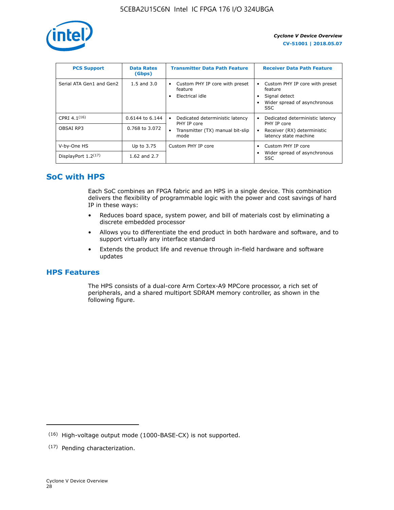

| <b>PCS Support</b>       | <b>Data Rates</b><br>(Gbps) | <b>Transmitter Data Path Feature</b>                         | <b>Receiver Data Path Feature</b>                                                                  |
|--------------------------|-----------------------------|--------------------------------------------------------------|----------------------------------------------------------------------------------------------------|
| Serial ATA Gen1 and Gen2 | $1.5$ and $3.0$             | Custom PHY IP core with preset<br>feature<br>Electrical idle | Custom PHY IP core with preset<br>feature<br>Signal detect<br>Wider spread of asynchronous<br>SSC. |
| CPRI 4.1 $(16)$          | 0.6144 to 6.144             | Dedicated deterministic latency<br>٠<br>PHY IP core          | Dedicated deterministic latency<br>PHY IP core                                                     |
| OBSAI RP3                | 0.768 to 3.072              | Transmitter (TX) manual bit-slip<br>mode                     | Receiver (RX) deterministic<br>latency state machine                                               |
| V-by-One HS              | Up to 3.75                  | Custom PHY IP core                                           | Custom PHY IP core                                                                                 |
| DisplayPort $1.2^{(17)}$ | 1.62 and 2.7                |                                                              | Wider spread of asynchronous<br><b>SSC</b>                                                         |

## **SoC with HPS**

Each SoC combines an FPGA fabric and an HPS in a single device. This combination delivers the flexibility of programmable logic with the power and cost savings of hard IP in these ways:

- Reduces board space, system power, and bill of materials cost by eliminating a discrete embedded processor
- Allows you to differentiate the end product in both hardware and software, and to support virtually any interface standard
- Extends the product life and revenue through in-field hardware and software updates

## **HPS Features**

The HPS consists of a dual-core Arm Cortex-A9 MPCore processor, a rich set of peripherals, and a shared multiport SDRAM memory controller, as shown in the following figure.

<sup>(16)</sup> High-voltage output mode (1000-BASE-CX) is not supported.

<sup>(17)</sup> Pending characterization.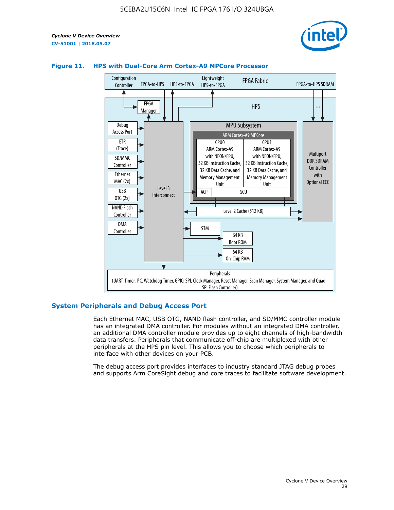



#### **Figure 11. HPS with Dual-Core Arm Cortex-A9 MPCore Processor**

#### **System Peripherals and Debug Access Port**

Each Ethernet MAC, USB OTG, NAND flash controller, and SD/MMC controller module has an integrated DMA controller. For modules without an integrated DMA controller, an additional DMA controller module provides up to eight channels of high-bandwidth data transfers. Peripherals that communicate off-chip are multiplexed with other peripherals at the HPS pin level. This allows you to choose which peripherals to interface with other devices on your PCB.

The debug access port provides interfaces to industry standard JTAG debug probes and supports Arm CoreSight debug and core traces to facilitate software development.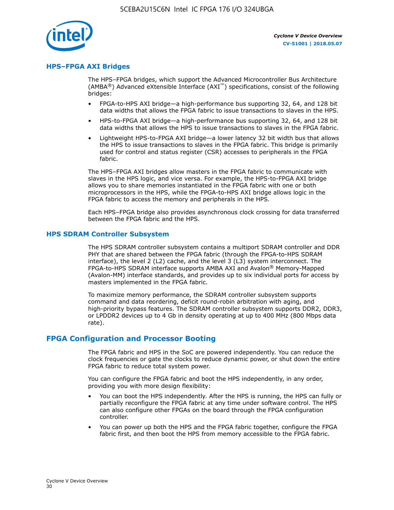

#### **HPS–FPGA AXI Bridges**

The HPS–FPGA bridges, which support the Advanced Microcontroller Bus Architecture (AMBA<sup>®</sup>) Advanced eXtensible Interface (AXI<sup>™</sup>) specifications, consist of the following bridges:

- FPGA-to-HPS AXI bridge—a high-performance bus supporting 32, 64, and 128 bit data widths that allows the FPGA fabric to issue transactions to slaves in the HPS.
- HPS-to-FPGA AXI bridge—a high-performance bus supporting 32, 64, and 128 bit data widths that allows the HPS to issue transactions to slaves in the FPGA fabric.
- Lightweight HPS-to-FPGA AXI bridge—a lower latency 32 bit width bus that allows the HPS to issue transactions to slaves in the FPGA fabric. This bridge is primarily used for control and status register (CSR) accesses to peripherals in the FPGA fabric.

The HPS–FPGA AXI bridges allow masters in the FPGA fabric to communicate with slaves in the HPS logic, and vice versa. For example, the HPS-to-FPGA AXI bridge allows you to share memories instantiated in the FPGA fabric with one or both microprocessors in the HPS, while the FPGA-to-HPS AXI bridge allows logic in the FPGA fabric to access the memory and peripherals in the HPS.

Each HPS–FPGA bridge also provides asynchronous clock crossing for data transferred between the FPGA fabric and the HPS.

#### **HPS SDRAM Controller Subsystem**

The HPS SDRAM controller subsystem contains a multiport SDRAM controller and DDR PHY that are shared between the FPGA fabric (through the FPGA-to-HPS SDRAM interface), the level 2 (L2) cache, and the level 3 (L3) system interconnect. The FPGA-to-HPS SDRAM interface supports AMBA AXI and Avalon® Memory-Mapped (Avalon-MM) interface standards, and provides up to six individual ports for access by masters implemented in the FPGA fabric.

To maximize memory performance, the SDRAM controller subsystem supports command and data reordering, deficit round-robin arbitration with aging, and high-priority bypass features. The SDRAM controller subsystem supports DDR2, DDR3, or LPDDR2 devices up to 4 Gb in density operating at up to 400 MHz (800 Mbps data rate).

#### **FPGA Configuration and Processor Booting**

The FPGA fabric and HPS in the SoC are powered independently. You can reduce the clock frequencies or gate the clocks to reduce dynamic power, or shut down the entire FPGA fabric to reduce total system power.

You can configure the FPGA fabric and boot the HPS independently, in any order, providing you with more design flexibility:

- You can boot the HPS independently. After the HPS is running, the HPS can fully or partially reconfigure the FPGA fabric at any time under software control. The HPS can also configure other FPGAs on the board through the FPGA configuration controller.
- You can power up both the HPS and the FPGA fabric together, configure the FPGA fabric first, and then boot the HPS from memory accessible to the FPGA fabric.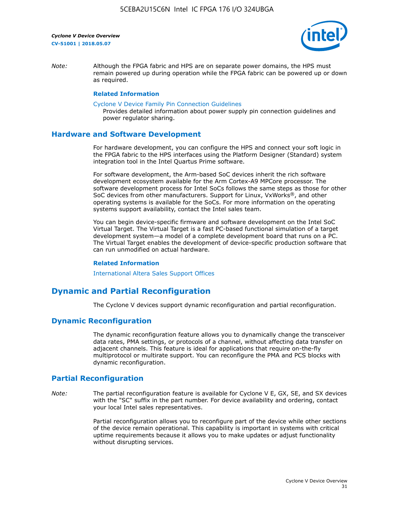

*Note:* Although the FPGA fabric and HPS are on separate power domains, the HPS must remain powered up during operation while the FPGA fabric can be powered up or down as required.

#### **Related Information**

[Cyclone V Device Family Pin Connection Guidelines](https://www.altera.com/content/dam/altera-www/global/en_US/pdfs/literature/dp/cyclone-v/pcg-01014.pdf)

Provides detailed information about power supply pin connection guidelines and power regulator sharing.

#### **Hardware and Software Development**

For hardware development, you can configure the HPS and connect your soft logic in the FPGA fabric to the HPS interfaces using the Platform Designer (Standard) system integration tool in the Intel Quartus Prime software.

For software development, the Arm-based SoC devices inherit the rich software development ecosystem available for the Arm Cortex-A9 MPCore processor. The software development process for Intel SoCs follows the same steps as those for other SoC devices from other manufacturers. Support for Linux, VxWorks®, and other operating systems is available for the SoCs. For more information on the operating systems support availability, contact the Intel sales team.

You can begin device-specific firmware and software development on the Intel SoC Virtual Target. The Virtual Target is a fast PC-based functional simulation of a target development system—a model of a complete development board that runs on a PC. The Virtual Target enables the development of device-specific production software that can run unmodified on actual hardware.

#### **Related Information**

[International Altera Sales Support Offices](https://www.altera.com/about/contact/contact/international-altera-sales-offices.html)

## **Dynamic and Partial Reconfiguration**

The Cyclone V devices support dynamic reconfiguration and partial reconfiguration.

#### **Dynamic Reconfiguration**

The dynamic reconfiguration feature allows you to dynamically change the transceiver data rates, PMA settings, or protocols of a channel, without affecting data transfer on adjacent channels. This feature is ideal for applications that require on-the-fly multiprotocol or multirate support. You can reconfigure the PMA and PCS blocks with dynamic reconfiguration.

## **Partial Reconfiguration**

*Note:* The partial reconfiguration feature is available for Cyclone V E, GX, SE, and SX devices with the "SC" suffix in the part number. For device availability and ordering, contact your local Intel sales representatives.

> Partial reconfiguration allows you to reconfigure part of the device while other sections of the device remain operational. This capability is important in systems with critical uptime requirements because it allows you to make updates or adjust functionality without disrupting services.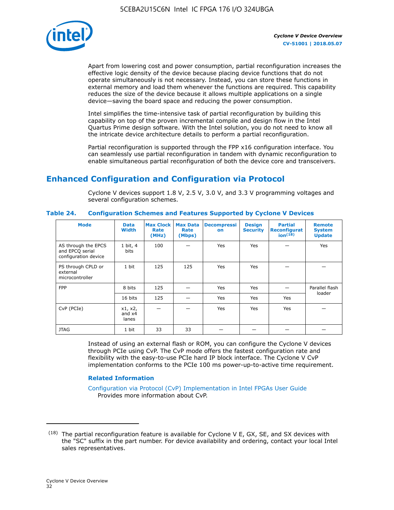

Apart from lowering cost and power consumption, partial reconfiguration increases the effective logic density of the device because placing device functions that do not operate simultaneously is not necessary. Instead, you can store these functions in external memory and load them whenever the functions are required. This capability reduces the size of the device because it allows multiple applications on a single device—saving the board space and reducing the power consumption.

Intel simplifies the time-intensive task of partial reconfiguration by building this capability on top of the proven incremental compile and design flow in the Intel Quartus Prime design software. With the Intel solution, you do not need to know all the intricate device architecture details to perform a partial reconfiguration.

Partial reconfiguration is supported through the FPP x16 configuration interface. You can seamlessly use partial reconfiguration in tandem with dynamic reconfiguration to enable simultaneous partial reconfiguration of both the device core and transceivers.

## **Enhanced Configuration and Configuration via Protocol**

Cyclone V devices support 1.8 V, 2.5 V, 3.0 V, and 3.3 V programming voltages and several configuration schemes.

| <b>Mode</b>                                                    | <b>Data</b><br>Width         | Max Clock  <br>Rate<br>(MHz) | <b>Max Data</b><br>Rate<br>(Mbps) | <b>Decompressi</b><br>on | <b>Design</b><br><b>Security</b> | <b>Partial</b><br>Reconfigurat<br>ion <sup>(18)</sup> | <b>Remote</b><br><b>System</b><br><b>Update</b> |
|----------------------------------------------------------------|------------------------------|------------------------------|-----------------------------------|--------------------------|----------------------------------|-------------------------------------------------------|-------------------------------------------------|
| AS through the EPCS<br>and EPCQ serial<br>configuration device | 1 bit, 4<br>bits             | 100                          |                                   | Yes                      | <b>Yes</b>                       |                                                       | Yes                                             |
| PS through CPLD or<br>external<br>microcontroller              | 1 bit                        | 125                          | 125                               | Yes                      | Yes                              |                                                       |                                                 |
| <b>FPP</b>                                                     | 8 bits                       | 125                          |                                   | Yes                      | <b>Yes</b>                       |                                                       | Parallel flash                                  |
|                                                                | 16 bits                      | 125                          |                                   | Yes                      | <b>Yes</b>                       | Yes                                                   | loader                                          |
| CvP (PCIe)                                                     | x1, x2,<br>and $x4$<br>lanes |                              |                                   | Yes                      | <b>Yes</b>                       | Yes                                                   |                                                 |
| <b>JTAG</b>                                                    | 1 bit                        | 33                           | 33                                |                          |                                  |                                                       |                                                 |

**Table 24. Configuration Schemes and Features Supported by Cyclone V Devices**

Instead of using an external flash or ROM, you can configure the Cyclone V devices through PCIe using CvP. The CvP mode offers the fastest configuration rate and flexibility with the easy-to-use PCIe hard IP block interface. The Cyclone V CvP implementation conforms to the PCIe 100 ms power-up-to-active time requirement.

#### **Related Information**

[Configuration via Protocol \(CvP\) Implementation in Intel FPGAs User Guide](https://www.altera.com/documentation/nik1412546950394.html#nik1412546833714) Provides more information about CvP.

 $(18)$  The partial reconfiguration feature is available for Cyclone V E, GX, SE, and SX devices with the "SC" suffix in the part number. For device availability and ordering, contact your local Intel sales representatives.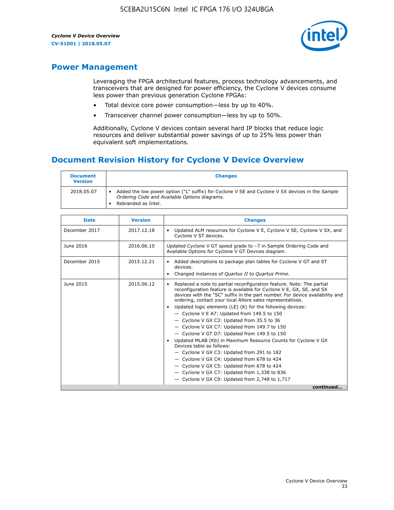

## **Power Management**

Leveraging the FPGA architectural features, process technology advancements, and transceivers that are designed for power efficiency, the Cyclone V devices consume less power than previous generation Cyclone FPGAs:

- Total device core power consumption—less by up to 40%.
- Transceiver channel power consumption—less by up to 50%.

Additionally, Cyclone V devices contain several hard IP blocks that reduce logic resources and deliver substantial power savings of up to 25% less power than equivalent soft implementations.

## **Document Revision History for Cyclone V Device Overview**

| <b>Document</b><br><b>Version</b> | <b>Changes</b>                                                                                                                                                          |
|-----------------------------------|-------------------------------------------------------------------------------------------------------------------------------------------------------------------------|
| 2018.05.07                        | Added the low power option ("L" suffix) for Cyclone V SE and Cyclone V SX devices in the Sample<br>Ordering Code and Available Options diagrams.<br>Rebranded as Intel. |

| <b>Date</b>   | <b>Version</b> | <b>Changes</b>                                                                                                                                                                                                                                                                                                                                                                                                                                                                                                                                                                                                                                                                                                                                                                                                                                                                                                  |
|---------------|----------------|-----------------------------------------------------------------------------------------------------------------------------------------------------------------------------------------------------------------------------------------------------------------------------------------------------------------------------------------------------------------------------------------------------------------------------------------------------------------------------------------------------------------------------------------------------------------------------------------------------------------------------------------------------------------------------------------------------------------------------------------------------------------------------------------------------------------------------------------------------------------------------------------------------------------|
| December 2017 | 2017.12.18     | Updated ALM resources for Cyclone V E, Cyclone V SE, Cyclone V SX, and<br>Cyclone V ST devices.                                                                                                                                                                                                                                                                                                                                                                                                                                                                                                                                                                                                                                                                                                                                                                                                                 |
| June 2016     | 2016.06.10     | Updated Cyclone V GT speed grade to -7 in Sample Ordering Code and<br>Available Options for Cyclone V GT Devices diagram.                                                                                                                                                                                                                                                                                                                                                                                                                                                                                                                                                                                                                                                                                                                                                                                       |
| December 2015 | 2015.12.21     | Added descriptions to package plan tables for Cyclone V GT and ST<br>devices.<br>Changed instances of Quartus II to Quartus Prime.                                                                                                                                                                                                                                                                                                                                                                                                                                                                                                                                                                                                                                                                                                                                                                              |
| June 2015     | 2015.06.12     | Replaced a note to partial reconfiguration feature. Note: The partial<br>reconfiguration feature is available for Cyclone V E, GX, SE, and SX<br>devices with the "SC" suffix in the part number. For device availability and<br>ordering, contact your local Altera sales representatives.<br>Updated logic elements (LE) (K) for the following devices:<br>$\bullet$<br>- Cyclone V E A7: Updated from 149.5 to 150<br>- Cyclone V GX C3: Updated from 35.5 to 36<br>- Cyclone V GX C7: Updated from 149.7 to 150<br>- Cyclone V GT D7: Updated from 149.5 to 150<br>Updated MLAB (Kb) in Maximum Resource Counts for Cyclone V GX<br>Devices table as follows:<br>- Cyclone V GX C3: Updated from 291 to 182<br>- Cyclone V GX C4: Updated from 678 to 424<br>- Cyclone V GX C5: Updated from 678 to 424<br>- Cyclone V GX C7: Updated from 1,338 to 836<br>$-$ Cyclone V GX C9: Updated from 2,748 to 1,717 |
|               |                | continued                                                                                                                                                                                                                                                                                                                                                                                                                                                                                                                                                                                                                                                                                                                                                                                                                                                                                                       |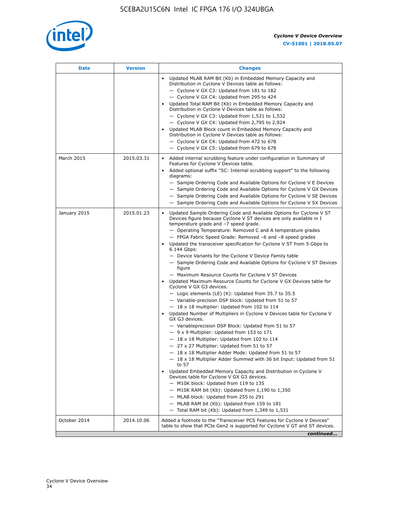

| <b>Date</b>  | <b>Version</b> | <b>Changes</b>                                                                                                                                                                                                                                                                                                                                                                                                                                                                                                                                                                                                                                                                                                                                                                                                                                                                                                                                                                                                                                                                                                                                                                                                                                                                                                                                                                                                                                                                                                                                                                                                                                                                                                |
|--------------|----------------|---------------------------------------------------------------------------------------------------------------------------------------------------------------------------------------------------------------------------------------------------------------------------------------------------------------------------------------------------------------------------------------------------------------------------------------------------------------------------------------------------------------------------------------------------------------------------------------------------------------------------------------------------------------------------------------------------------------------------------------------------------------------------------------------------------------------------------------------------------------------------------------------------------------------------------------------------------------------------------------------------------------------------------------------------------------------------------------------------------------------------------------------------------------------------------------------------------------------------------------------------------------------------------------------------------------------------------------------------------------------------------------------------------------------------------------------------------------------------------------------------------------------------------------------------------------------------------------------------------------------------------------------------------------------------------------------------------------|
|              |                | Updated MLAB RAM Bit (Kb) in Embedded Memory Capacity and<br>Distribution in Cyclone V Devices table as follows:<br>- Cyclone V GX C3: Updated from 181 to 182<br>- Cyclone V GX C4: Updated from 295 to 424<br>Updated Total RAM Bit (Kb) in Embedded Memory Capacity and<br>Distribution in Cyclone V Devices table as follows:<br>- Cyclone V GX C3: Updated from $1,531$ to $1,532$<br>- Cyclone V GX C4: Updated from 2,795 to 2,924<br>Updated MLAB Block count in Embedded Memory Capacity and<br>Distribution in Cyclone V Devices table as follows:<br>- Cyclone V GX C4: Updated from 472 to 678<br>- Cyclone V GX C5: Updated from 679 to 678                                                                                                                                                                                                                                                                                                                                                                                                                                                                                                                                                                                                                                                                                                                                                                                                                                                                                                                                                                                                                                                      |
| March 2015   | 2015.03.31     | Added internal scrubbing feature under configuration in Summary of<br>$\bullet$<br>Features for Cyclone V Devices table.<br>Added optional suffix "SC: Internal scrubbing support" to the following<br>diagrams:<br>- Sample Ordering Code and Available Options for Cyclone V E Devices<br>- Sample Ordering Code and Available Options for Cyclone V GX Devices<br>- Sample Ordering Code and Available Options for Cyclone V SE Devices<br>- Sample Ordering Code and Available Options for Cyclone V SX Devices                                                                                                                                                                                                                                                                                                                                                                                                                                                                                                                                                                                                                                                                                                                                                                                                                                                                                                                                                                                                                                                                                                                                                                                           |
| January 2015 | 2015.01.23     | Updated Sample Ordering Code and Available Options for Cyclone V ST<br>Devices figure because Cyclone V ST devices are only available in I<br>temperature grade and -7 speed grade.<br>- Operating Temperature: Removed C and A temperature grades<br>- FPGA Fabric Speed Grade: Removed -6 and -8 speed grades<br>Updated the transceiver specification for Cyclone V ST from 5 Gbps to<br>6.144 Gbps:<br>- Device Variants for the Cyclone V Device Family table<br>- Sample Ordering Code and Available Options for Cyclone V ST Devices<br>figure<br>- Maximum Resource Counts for Cyclone V ST Devices<br>Updated Maximum Resource Counts for Cyclone V GX Devices table for<br>Cyclone V GX G3 devices.<br>$-$ Logic elements (LE) (K): Updated from 35.7 to 35.5<br>- Variable-precision DSP block: Updated from 51 to 57<br>$-18 \times 18$ multiplier: Updated from 102 to 114<br>Updated Number of Multipliers in Cyclone V Devices table for Cyclone V<br>GX G3 devices.<br>- Variableprecision DSP Block: Updated from 51 to 57<br>$-9x9$ Multiplier: Updated from 153 to 171<br>$-18 \times 18$ Multiplier: Updated from 102 to 114<br>- 27 x 27 Multiplier: Updated from 51 to 57<br>- 18 x 18 Multiplier Adder Mode: Updated from 51 to 57<br>$-18 \times 18$ Multiplier Adder Summed with 36 bit Input: Updated from 51<br>to 57<br>Updated Embedded Memory Capacity and Distribution in Cyclone V<br>Devices table for Cyclone V GX G3 devices.<br>- M10K block: Updated from 119 to 135<br>- M10K RAM bit (Kb): Updated from 1,190 to 1,350<br>- MLAB block: Updated from 255 to 291<br>- MLAB RAM bit (Kb): Updated from 159 to 181<br>$-$ Total RAM bit (Kb): Updated from 1,349 to 1,531 |
| October 2014 | 2014.10.06     | Added a footnote to the "Transceiver PCS Features for Cyclone V Devices"<br>table to show that PCIe Gen2 is supported for Cyclone V GT and ST devices.                                                                                                                                                                                                                                                                                                                                                                                                                                                                                                                                                                                                                                                                                                                                                                                                                                                                                                                                                                                                                                                                                                                                                                                                                                                                                                                                                                                                                                                                                                                                                        |
|              |                | continued                                                                                                                                                                                                                                                                                                                                                                                                                                                                                                                                                                                                                                                                                                                                                                                                                                                                                                                                                                                                                                                                                                                                                                                                                                                                                                                                                                                                                                                                                                                                                                                                                                                                                                     |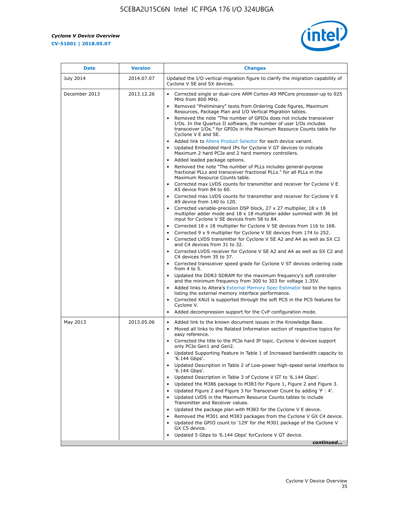r



| <b>Date</b>   | <b>Version</b> | <b>Changes</b>                                                                                                                                                                                                                           |
|---------------|----------------|------------------------------------------------------------------------------------------------------------------------------------------------------------------------------------------------------------------------------------------|
| July 2014     | 2014.07.07     | Updated the I/O vertical migration figure to clarify the migration capability of<br>Cyclone V SE and SX devices.                                                                                                                         |
| December 2013 | 2013.12.26     | Corrected single or dual-core ARM Cortex-A9 MPCore processor-up to 925<br>MHz from 800 MHz.                                                                                                                                              |
|               |                | Removed "Preliminary" texts from Ordering Code figures, Maximum<br>Resources, Package Plan and I/O Vertical Migration tables.                                                                                                            |
|               |                | Removed the note "The number of GPIOs does not include transceiver<br>I/Os. In the Quartus II software, the number of user I/Os includes<br>transceiver I/Os." for GPIOs in the Maximum Resource Counts table for<br>Cyclone V E and SE. |
|               |                | Added link to Altera Product Selector for each device variant.<br>Updated Embedded Hard IPs for Cyclone V GT devices to indicate<br>Maximum 2 hard PCIe and 2 hard memory controllers.                                                   |
|               |                | • Added leaded package options.                                                                                                                                                                                                          |
|               |                | Removed the note "The number of PLLs includes general-purpose<br>fractional PLLs and transceiver fractional PLLs." for all PLLs in the<br>Maximum Resource Counts table.                                                                 |
|               |                | • Corrected max LVDS counts for transmitter and receiver for Cyclone V E<br>A5 device from 84 to 60.                                                                                                                                     |
|               |                | • Corrected max LVDS counts for transmitter and receiver for Cyclone V E<br>A9 device from 140 to 120.                                                                                                                                   |
|               |                | Corrected variable-precision DSP block, 27 x 27 multiplier, 18 x 18<br>multiplier adder mode and 18 x 18 multiplier adder summed with 36 bit<br>input for Cyclone V SE devices from 58 to 84.                                            |
|               |                | Corrected 18 x 18 multiplier for Cyclone V SE devices from 116 to 168.                                                                                                                                                                   |
|               |                | Corrected 9 x 9 multiplier for Cyclone V SE devices from 174 to 252.                                                                                                                                                                     |
|               |                | • Corrected LVDS transmitter for Cyclone V SE A2 and A4 as well as SX C2<br>and C4 devices from 31 to 32.                                                                                                                                |
|               |                | • Corrected LVDS receiver for Cyclone V SE A2 and A4 as well as SX C2 and<br>C4 devices from 35 to 37.                                                                                                                                   |
|               |                | • Corrected transceiver speed grade for Cyclone V ST devices ordering code<br>from 4 to 5.                                                                                                                                               |
|               |                | • Updated the DDR3 SDRAM for the maximum frequency's soft controller<br>and the minimum frequency from 300 to 303 for voltage 1.35V.                                                                                                     |
|               |                | Added links to Altera's External Memory Spec Estimator tool to the topics<br>listing the external memory interface performance.                                                                                                          |
|               |                | • Corrected XAUI is supported through the soft PCS in the PCS features for<br>Cyclone V.                                                                                                                                                 |
|               |                | Added decompression support for the CvP configuration mode.                                                                                                                                                                              |
| May 2013      | 2013.05.06     | Added link to the known document issues in the Knowledge Base.<br>$\bullet$<br>Moved all links to the Related Information section of respective topics for<br>$\bullet$<br>easy reference.                                               |
|               |                | • Corrected the title to the PCIe hard IP topic. Cyclone V devices support<br>only PCIe Gen1 and Gen2.                                                                                                                                   |
|               |                | • Updated Supporting Feature in Table 1 of Increased bandwidth capacity to<br>'6.144 Gbps'.                                                                                                                                              |
|               |                | Updated Description in Table 2 of Low-power high-speed serial interface to<br>'6.144 Gbps'.                                                                                                                                              |
|               |                | Updated Description in Table 3 of Cyclone V GT to '6.144 Gbps'.                                                                                                                                                                          |
|               |                | Updated the M386 package to M383 for Figure 1, Figure 2 and Figure 3.<br>$\bullet$                                                                                                                                                       |
|               |                | Updated Figure 2 and Figure 3 for Transceiver Count by adding 'F : 4'.<br>$\bullet$                                                                                                                                                      |
|               |                | Updated LVDS in the Maximum Resource Counts tables to include<br>Transmitter and Receiver values.                                                                                                                                        |
|               |                | Updated the package plan with M383 for the Cyclone V E device.                                                                                                                                                                           |
|               |                | Removed the M301 and M383 packages from the Cyclone V GX C4 device.<br>Updated the GPIO count to '129' for the M301 package of the Cyclone V                                                                                             |
|               |                | GX C5 device.                                                                                                                                                                                                                            |
|               |                | Updated 5 Gbps to '6.144 Gbps' for Cyclone V GT device.                                                                                                                                                                                  |
|               |                | continued                                                                                                                                                                                                                                |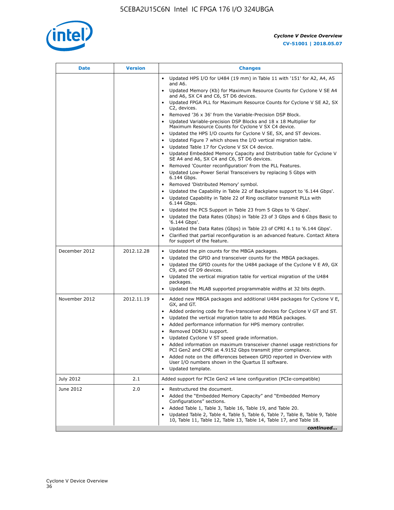

| <b>Date</b>   | <b>Version</b> | <b>Changes</b>                                                                                                                                                                                                                                                                                                                                                                                                                                                                                                                                                                                                                                                                                                                                                                                                                                                                                                                                                                                                                                                                                                                                                             |
|---------------|----------------|----------------------------------------------------------------------------------------------------------------------------------------------------------------------------------------------------------------------------------------------------------------------------------------------------------------------------------------------------------------------------------------------------------------------------------------------------------------------------------------------------------------------------------------------------------------------------------------------------------------------------------------------------------------------------------------------------------------------------------------------------------------------------------------------------------------------------------------------------------------------------------------------------------------------------------------------------------------------------------------------------------------------------------------------------------------------------------------------------------------------------------------------------------------------------|
|               |                | • Updated HPS I/O for U484 (19 mm) in Table 11 with '151' for A2, A4, A5<br>and A6.<br>• Updated Memory (Kb) for Maximum Resource Counts for Cyclone V SE A4                                                                                                                                                                                                                                                                                                                                                                                                                                                                                                                                                                                                                                                                                                                                                                                                                                                                                                                                                                                                               |
|               |                | and A6, SX C4 and C6, ST D6 devices.<br>Updated FPGA PLL for Maximum Resource Counts for Cyclone V SE A2, SX                                                                                                                                                                                                                                                                                                                                                                                                                                                                                                                                                                                                                                                                                                                                                                                                                                                                                                                                                                                                                                                               |
|               |                | C2, devices.<br>Removed '36 x 36' from the Variable-Precision DSP Block.<br>Updated Variable-precision DSP Blocks and 18 x 18 Multiplier for<br>Maximum Resource Counts for Cyclone V SX C4 device.<br>• Updated the HPS I/O counts for Cyclone V SE, SX, and ST devices.<br>Updated Figure 7 which shows the I/O vertical migration table.<br>$\bullet$<br>Updated Table 17 for Cyclone V SX C4 device.<br>$\bullet$<br>• Updated Embedded Memory Capacity and Distribution table for Cyclone V<br>SE A4 and A6, SX C4 and C6, ST D6 devices.<br>• Removed 'Counter reconfiguration' from the PLL Features.<br>Updated Low-Power Serial Transceivers by replacing 5 Gbps with<br>6.144 Gbps.<br>• Removed 'Distributed Memory' symbol.<br>Updated the Capability in Table 22 of Backplane support to '6.144 Gbps'.<br>Updated Capability in Table 22 of Ring oscillator transmit PLLs with<br>$\bullet$<br>6.144 Gbps.<br>Updated the PCS Support in Table 23 from 5 Gbps to '6 Gbps'.<br>Updated the Data Rates (Gbps) in Table 23 of 3 Gbps and 6 Gbps Basic to<br>$\bullet$<br>'6.144 Gbps'.<br>Updated the Data Rates (Gbps) in Table 23 of CPRI 4.1 to '6.144 Gbps'. |
| December 2012 | 2012.12.28     | • Clarified that partial reconfiguration is an advanced feature. Contact Altera<br>for support of the feature.                                                                                                                                                                                                                                                                                                                                                                                                                                                                                                                                                                                                                                                                                                                                                                                                                                                                                                                                                                                                                                                             |
|               |                | Updated the pin counts for the MBGA packages.<br>$\bullet$<br>Updated the GPIO and transceiver counts for the MBGA packages.<br>$\bullet$<br>Updated the GPIO counts for the U484 package of the Cyclone V E A9, GX<br>C9, and GT D9 devices.<br>• Updated the vertical migration table for vertical migration of the U484<br>packages.<br>• Updated the MLAB supported programmable widths at 32 bits depth.                                                                                                                                                                                                                                                                                                                                                                                                                                                                                                                                                                                                                                                                                                                                                              |
| November 2012 | 2012.11.19     | • Added new MBGA packages and additional U484 packages for Cyclone V E,<br>GX, and GT.<br>• Added ordering code for five-transceiver devices for Cyclone V GT and ST.<br>Updated the vertical migration table to add MBGA packages.<br>$\bullet$<br>Added performance information for HPS memory controller.<br>$\bullet$<br>Removed DDR3U support.<br>$\bullet$<br>Updated Cyclone V ST speed grade information.<br>Added information on maximum transceiver channel usage restrictions for<br>PCI Gen2 and CPRI at 4.9152 Gbps transmit jitter compliance.<br>Added note on the differences between GPIO reported in Overview with<br>٠<br>User I/O numbers shown in the Quartus II software.<br>Updated template.                                                                                                                                                                                                                                                                                                                                                                                                                                                       |
| July 2012     | 2.1            | Added support for PCIe Gen2 x4 lane configuration (PCIe-compatible)                                                                                                                                                                                                                                                                                                                                                                                                                                                                                                                                                                                                                                                                                                                                                                                                                                                                                                                                                                                                                                                                                                        |
| June 2012     | 2.0            | Restructured the document.<br>Added the "Embedded Memory Capacity" and "Embedded Memory<br>Configurations" sections.<br>Added Table 1, Table 3, Table 16, Table 19, and Table 20.<br>Updated Table 2, Table 4, Table 5, Table 6, Table 7, Table 8, Table 9, Table<br>10, Table 11, Table 12, Table 13, Table 14, Table 17, and Table 18.                                                                                                                                                                                                                                                                                                                                                                                                                                                                                                                                                                                                                                                                                                                                                                                                                                   |
|               |                | continued                                                                                                                                                                                                                                                                                                                                                                                                                                                                                                                                                                                                                                                                                                                                                                                                                                                                                                                                                                                                                                                                                                                                                                  |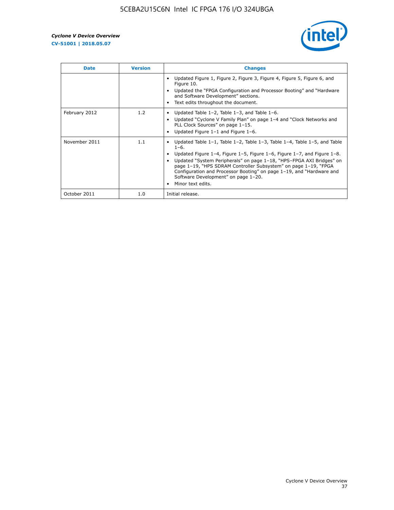

| <b>Date</b>   | <b>Version</b> | <b>Changes</b>                                                                                                                                                                                                                                                                                                                                                                                                                                                             |
|---------------|----------------|----------------------------------------------------------------------------------------------------------------------------------------------------------------------------------------------------------------------------------------------------------------------------------------------------------------------------------------------------------------------------------------------------------------------------------------------------------------------------|
|               |                | Updated Figure 1, Figure 2, Figure 3, Figure 4, Figure 5, Figure 6, and<br>Figure 10.<br>Updated the "FPGA Configuration and Processor Booting" and "Hardware<br>and Software Development" sections.<br>Text edits throughout the document.                                                                                                                                                                                                                                |
| February 2012 | 1.2            | Updated Table $1-2$ , Table $1-3$ , and Table $1-6$ .<br>Updated "Cyclone V Family Plan" on page 1-4 and "Clock Networks and<br>$\bullet$<br>PLL Clock Sources" on page 1-15.<br>Updated Figure 1-1 and Figure 1-6.                                                                                                                                                                                                                                                        |
| November 2011 | 1.1            | Updated Table $1-1$ , Table $1-2$ , Table $1-3$ , Table $1-4$ , Table $1-5$ , and Table<br>$1 - 6.$<br>Updated Figure 1-4, Figure 1-5, Figure 1-6, Figure 1-7, and Figure 1-8.<br>Updated "System Peripherals" on page 1-18, "HPS-FPGA AXI Bridges" on<br>page 1-19, "HPS SDRAM Controller Subsystem" on page 1-19, "FPGA<br>Configuration and Processor Booting" on page 1-19, and "Hardware and<br>Software Development" on page 1-20.<br>Minor text edits.<br>$\bullet$ |
| October 2011  | 1.0            | Initial release.                                                                                                                                                                                                                                                                                                                                                                                                                                                           |